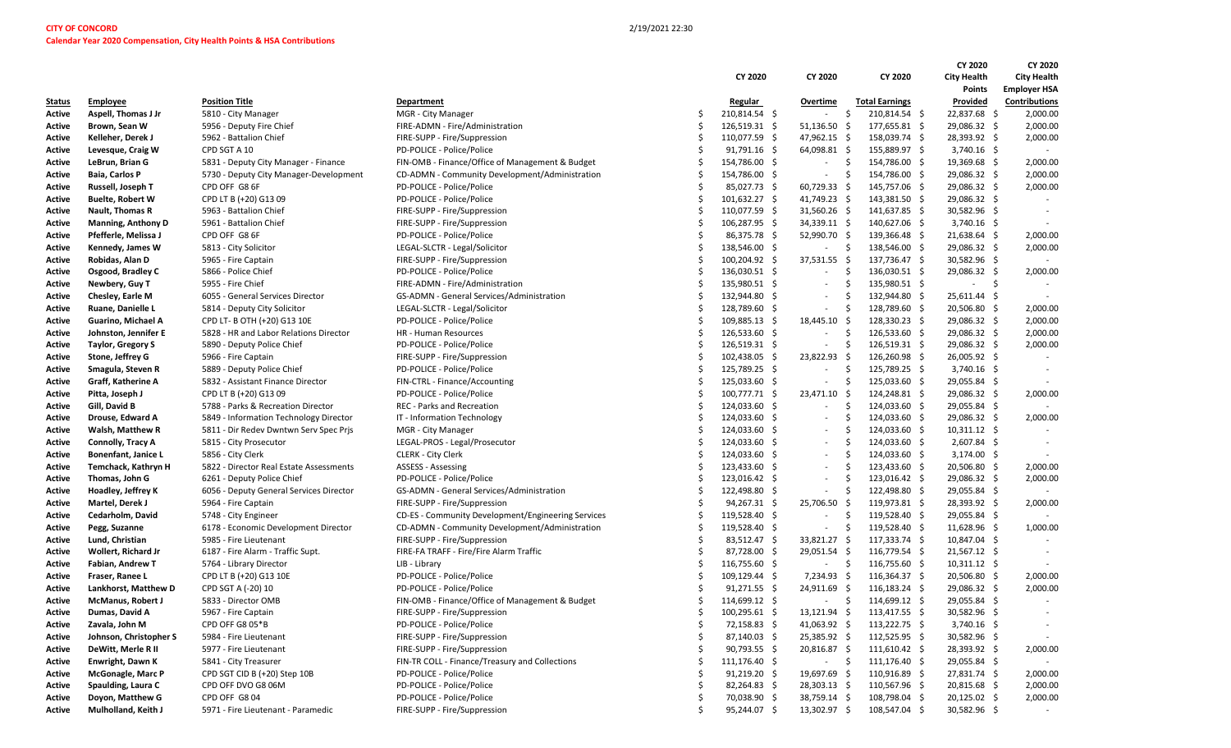|                  |                            |                                         |                                                                                                      |   |                 |                |      |                        |                    | CY 2020                          | CY 2020             |
|------------------|----------------------------|-----------------------------------------|------------------------------------------------------------------------------------------------------|---|-----------------|----------------|------|------------------------|--------------------|----------------------------------|---------------------|
|                  |                            |                                         |                                                                                                      |   | CY 2020         | CY 2020        |      | CY 2020                | <b>City Health</b> |                                  | <b>City Health</b>  |
|                  |                            |                                         |                                                                                                      |   |                 |                |      |                        |                    | <b>Points</b>                    | <b>Employer HSA</b> |
| Status           | <b>Employee</b>            | <b>Position Title</b>                   | Department                                                                                           |   | Regular         | Overtime       |      | <b>Total Earnings</b>  |                    | Provided                         | Contributions       |
| Active           | Aspell, Thomas J Jr        | 5810 - City Manager                     | MGR - City Manager                                                                                   |   | 210,814.54 \$   | $\sim$         | Ŝ.   | 210,814.54 \$          |                    | 22,837.68 \$                     | 2,000.00            |
| Active           | Brown, Sean W              | 5956 - Deputy Fire Chief                | FIRE-ADMN - Fire/Administration                                                                      |   | $126,519.31$ \$ | 51,136.50      | -\$  | 177,655.81 \$          |                    | 29,086.32 \$                     | 2,000.00            |
| Active           | Kelleher, Derek J          | 5962 - Battalion Chief                  | FIRE-SUPP - Fire/Suppression                                                                         | Ŝ | 110,077.59 \$   | 47,962.15 \$   |      | 158,039.74 \$          |                    | 28,393.92 \$                     | 2,000.00            |
| Active           | Levesque, Craig W          | CPD SGT A 10                            | PD-POLICE - Police/Police                                                                            |   | $91,791.16$ \$  | 64,098.81 \$   |      | 155,889.97 \$          |                    | $3,740.16$ \$                    | $\sim$              |
| Active           | LeBrun, Brian G            | 5831 - Deputy City Manager - Finance    | FIN-OMB - Finance/Office of Management & Budget                                                      |   | 154,786.00 \$   | $\sim$         | -\$  | 154,786.00 \$          |                    | 19,369.68 \$                     | 2,000.00            |
| Active           | <b>Baia, Carlos P</b>      | 5730 - Deputy City Manager-Development  | CD-ADMN - Community Development/Administration                                                       |   | 154,786.00 \$   | $\sim$         | -\$  | 154,786.00 \$          |                    | 29,086.32 \$                     | 2,000.00            |
| Active           | Russell, Joseph T          | CPD OFF G8 6F                           | PD-POLICE - Police/Police                                                                            |   | 85,027.73 \$    | $60,729.33$ \$ |      | 145,757.06 \$          |                    | 29,086.32 \$                     | 2,000.00            |
| Active           | <b>Buelte, Robert W</b>    | CPD LT B (+20) G13 09                   | PD-POLICE - Police/Police                                                                            |   | 101,632.27 \$   | 41,749.23 \$   |      | 143,381.50 \$          |                    | 29,086.32 \$                     |                     |
| Active           | Nault, Thomas R            | 5963 - Battalion Chief                  | FIRE-SUPP - Fire/Suppression                                                                         |   | 110,077.59 \$   | $31,560.26$ \$ |      | 141,637.85 \$          |                    | 30,582.96 \$                     |                     |
| Active           | <b>Manning, Anthony D</b>  | 5961 - Battalion Chief                  | FIRE-SUPP - Fire/Suppression                                                                         |   | 106,287.95 \$   | 34,339.11 \$   |      | 140,627.06 \$          |                    | $3,740.16$ \$                    |                     |
| Active           | Pfefferle, Melissa J       | CPD OFF G8 6F                           | PD-POLICE - Police/Police                                                                            |   | 86,375.78 \$    | 52,990.70 \$   |      | 139,366.48 \$          |                    | 21,638.64 \$                     | 2,000.00            |
| Active           | Kennedy, James W           | 5813 - City Solicitor                   | LEGAL-SLCTR - Legal/Solicitor                                                                        |   | 138,546.00 \$   | $\sim$         | -\$  | 138,546.00 \$          |                    | 29,086.32 \$                     | 2,000.00            |
| Active           | Robidas, Alan D            | 5965 - Fire Captain                     | FIRE-SUPP - Fire/Suppression                                                                         |   | 100,204.92 \$   | 37,531.55 \$   |      | 137,736.47 \$          |                    | 30,582.96 \$                     |                     |
| Active           | Osgood, Bradley C          | 5866 - Police Chief                     | PD-POLICE - Police/Police                                                                            |   | 136,030.51 \$   | $\sim$         | -Ś   | 136,030.51 \$          |                    | 29,086.32 \$                     | 2,000.00            |
| Active           | Newbery, Guy T             | 5955 - Fire Chief                       | FIRE-ADMN - Fire/Administration                                                                      |   | 135,980.51 \$   | $\sim$         | Ŝ.   | 135,980.51 \$          |                    | - \$<br>$\overline{\phantom{a}}$ |                     |
| Active           | Chesley, Earle M           | 6055 - General Services Director        | GS-ADMN - General Services/Administration                                                            |   | 132,944.80 \$   | $\sim$         | -Ś   | 132,944.80 \$          |                    | $25,611.44$ \$                   |                     |
| Active           | Ruane, Danielle L          | 5814 - Deputy City Solicitor            | LEGAL-SLCTR - Legal/Solicitor                                                                        |   | 128,789.60 \$   | $\sim$         | -Ś   | 128,789.60 \$          |                    | 20,506.80 \$                     | 2,000.00            |
| Active           | Guarino, Michael A         | CPD LT- B OTH (+20) G13 10E             | PD-POLICE - Police/Police                                                                            |   | 109,885.13 \$   | 18,445.10      | -\$  | $128,330.23$ \$        |                    | 29,086.32 \$                     | 2,000.00            |
| Active           | Johnston, Jennifer E       | 5828 - HR and Labor Relations Director  | HR - Human Resources                                                                                 |   | 126,533.60 \$   | $\sim$         | -Ś   | 126,533.60 \$          |                    | 29,086.32 \$                     | 2,000.00            |
| Active           | Taylor, Gregory S          | 5890 - Deputy Police Chief              | PD-POLICE - Police/Police                                                                            |   | 126,519.31 \$   | $\sim$         | Ŝ.   | 126,519.31 \$          |                    | 29,086.32 \$                     | 2,000.00            |
| Active           | Stone, Jeffrey G           | 5966 - Fire Captain                     | FIRE-SUPP - Fire/Suppression                                                                         |   | 102,438.05 \$   | 23,822.93 \$   |      | 126,260.98 \$          |                    | 26,005.92 \$                     |                     |
| Active           | Smagula, Steven R          | 5889 - Deputy Police Chief              | PD-POLICE - Police/Police                                                                            |   | 125,789.25 \$   | $\sim$         | -Ś   | 125,789.25 \$          |                    | $3,740.16$ \$                    |                     |
| Active           | Graff, Katherine A         | 5832 - Assistant Finance Director       | FIN-CTRL - Finance/Accounting                                                                        |   | $125,033.60$ \$ | $\sim$         | -Ś   | 125,033.60 \$          |                    | 29,055.84 \$                     |                     |
| Active           | Pitta, Joseph J            | CPD LT B (+20) G13 09                   | PD-POLICE - Police/Police                                                                            |   | 100,777.71 \$   | 23,471.10      | -\$  | 124,248.81 \$          |                    | 29,086.32 \$                     | 2,000.00            |
| Active           | Gill, David B              | 5788 - Parks & Recreation Director      | REC - Parks and Recreation                                                                           |   | 124,033.60 \$   | $\sim$         | -Ś   | 124,033.60 \$          |                    | 29,055.84 \$                     |                     |
| Active           | Drouse, Edward A           | 5849 - Information Technology Director  | IT - Information Technology                                                                          |   | 124,033.60 \$   | $\sim$         | -Ś   | 124,033.60 \$          |                    | 29,086.32 \$                     | 2,000.00            |
| Active           | Walsh, Matthew R           | 5811 - Dir Redev Dwntwn Serv Spec Prjs  | MGR - City Manager                                                                                   |   | 124,033.60 \$   | $\sim$         | -Ś   | 124,033.60 \$          |                    | $10,311.12 \div$                 |                     |
| Active           | Connolly, Tracy A          | 5815 - City Prosecutor                  | LEGAL-PROS - Legal/Prosecutor                                                                        |   | 124,033.60 \$   | $\sim$         | -Ś   | 124,033.60 \$          |                    | $2,607.84$ \$                    |                     |
| Active           | <b>Bonenfant, Janice L</b> | 5856 - City Clerk                       | <b>CLERK - City Clerk</b>                                                                            |   | 124,033.60 \$   | $\sim$         | Ŝ.   | 124,033.60 \$          |                    | $3,174.00$ \$                    |                     |
| Active           | Temchack, Kathryn H        | 5822 - Director Real Estate Assessments | ASSESS - Assessing                                                                                   |   | 123,433.60 \$   | $\sim$         | -Ś   | 123,433.60 \$          |                    | 20,506.80 \$                     | 2,000.00            |
|                  | Thomas, John G             | 6261 - Deputy Police Chief              | PD-POLICE - Police/Police                                                                            |   | 123,016.42 \$   | $\sim$         | Ŝ.   | 123,016.42 \$          |                    | 29,086.32 \$                     | 2,000.00            |
| Active<br>Active | Hoadley, Jeffrey K         | 6056 - Deputy General Services Director | GS-ADMN - General Services/Administration                                                            |   | 122,498.80 \$   | $\sim$         | \$   | 122,498.80 \$          |                    | 29,055.84 \$                     |                     |
|                  | Martel, Derek J            | 5964 - Fire Captain                     | FIRE-SUPP - Fire/Suppression                                                                         |   | $94,267.31$ \$  | 25,706.50 \$   |      | 119,973.81 \$          |                    | 28,393.92 \$                     | 2,000.00            |
| Active           | Cedarholm, David           | 5748 - City Engineer                    |                                                                                                      |   | 119,528.40 \$   | $\sim$         | -Ś   | 119,528.40 \$          |                    | 29,055.84 \$                     |                     |
| Active<br>Active | Pegg, Suzanne              | 6178 - Economic Development Director    | CD-ES - Community Development/Engineering Services<br>CD-ADMN - Community Development/Administration |   | 119,528.40 \$   | $\sim$         | Ŝ.   | 119,528.40 \$          |                    | $11,628.96$ \$                   | 1,000.00            |
|                  | Lund, Christian            | 5985 - Fire Lieutenant                  | FIRE-SUPP - Fire/Suppression                                                                         |   | 83,512.47 \$    | 33,821.27 \$   |      | 117,333.74 \$          |                    | 10,847.04 \$                     |                     |
| Active<br>Active | Wollert, Richard Jr        | 6187 - Fire Alarm - Traffic Supt.       | FIRE-FA TRAFF - Fire/Fire Alarm Traffic                                                              |   | 87,728.00 \$    | 29,051.54 \$   |      | 116,779.54 \$          |                    | $21,567.12$ \$                   |                     |
|                  | Fabian, Andrew T           | 5764 - Library Director                 | LIB - Library                                                                                        |   | 116,755.60 \$   | $\sim$         | \$   | 116,755.60 \$          |                    | $10,311.12 \div$                 |                     |
| Active           | Fraser, Ranee L            | CPD LT B (+20) G13 10E                  | PD-POLICE - Police/Police                                                                            |   | 109,129.44 \$   | 7,234.93 \$    |      | 116,364.37 \$          |                    | 20,506.80 \$                     | 2,000.00            |
| Active           | Lankhorst, Matthew D       | CPD SGT A (-20) 10                      | PD-POLICE - Police/Police                                                                            |   | $91,271.55$ \$  | 24,911.69      | -\$  | $116,183.24$ \$        |                    | 29,086.32 \$                     | 2,000.00            |
| Active           |                            | 5833 - Director OMB                     | FIN-OMB - Finance/Office of Management & Budget                                                      | Ŝ | 114,699.12 \$   |                | \$   | 114,699.12 \$          |                    | 29,055.84 \$                     |                     |
| Active           | <b>McManus, Robert J</b>   |                                         |                                                                                                      |   |                 |                |      |                        |                    |                                  |                     |
| Active           | Dumas, David A             | 5967 - Fire Captain                     | FIRE-SUPP - Fire/Suppression                                                                         |   | 100,295.61 \$   | 13,121.94 \$   |      | 113,417.55 \$          |                    | 30,582.96 \$                     |                     |
| Active           | Zavala, John M             | CPD OFF G8 05*B                         | PD-POLICE - Police/Police                                                                            |   | 72,158.83 \$    | 41,063.92 \$   |      | 113,222.75 \$          |                    | $3,740.16$ \$                    |                     |
| Active           | Johnson, Christopher S     | 5984 - Fire Lieutenant                  | FIRE-SUPP - Fire/Suppression                                                                         | Ŝ | 87,140.03 \$    | 25,385.92 \$   |      | 112,525.95 \$          |                    | 30,582.96 \$                     |                     |
| Active           | DeWitt, Merle R II         | 5977 - Fire Lieutenant                  | FIRE-SUPP - Fire/Suppression                                                                         |   | $90,793.55$ \$  | 20,816.87 \$   |      | $111,610.42 \div$      |                    | 28,393.92 \$                     | 2,000.00            |
| Active           | <b>Enwright, Dawn K</b>    | 5841 - City Treasurer                   | FIN-TR COLL - Finance/Treasury and Collections                                                       |   | 111,176.40 \$   |                | $-5$ | $111,176.40 \; \simeq$ |                    | 29,055.84 \$                     |                     |
| Active           | <b>McGonagle, Marc P</b>   | CPD SGT CID B (+20) Step 10B            | PD-POLICE - Police/Police                                                                            |   | $91,219.20$ \$  | 19,697.69 \$   |      | 110,916.89 \$          |                    | 27,831.74 \$                     | 2,000.00            |
| Active           | Spaulding, Laura C         | CPD OFF DVO G8 06M                      | PD-POLICE - Police/Police                                                                            |   | 82,264.83 \$    | 28,303.13 \$   |      | 110,567.96 \$          |                    | 20,815.68 \$                     | 2,000.00            |
| Active           | Doyon, Matthew G           | CPD OFF G804                            | PD-POLICE - Police/Police                                                                            |   | 70,038.90 \$    | 38,759.14 \$   |      | 108,798.04 \$          |                    | $20,125.02$ \$                   | 2,000.00            |
| Active           | Mulholland, Keith J        | 5971 - Fire Lieutenant - Paramedic      | FIRE-SUPP - Fire/Suppression                                                                         | Ŝ | 95,244.07 \$    | 13,302.97 \$   |      | 108,547.04 \$          |                    | $30,582.96$ \$                   |                     |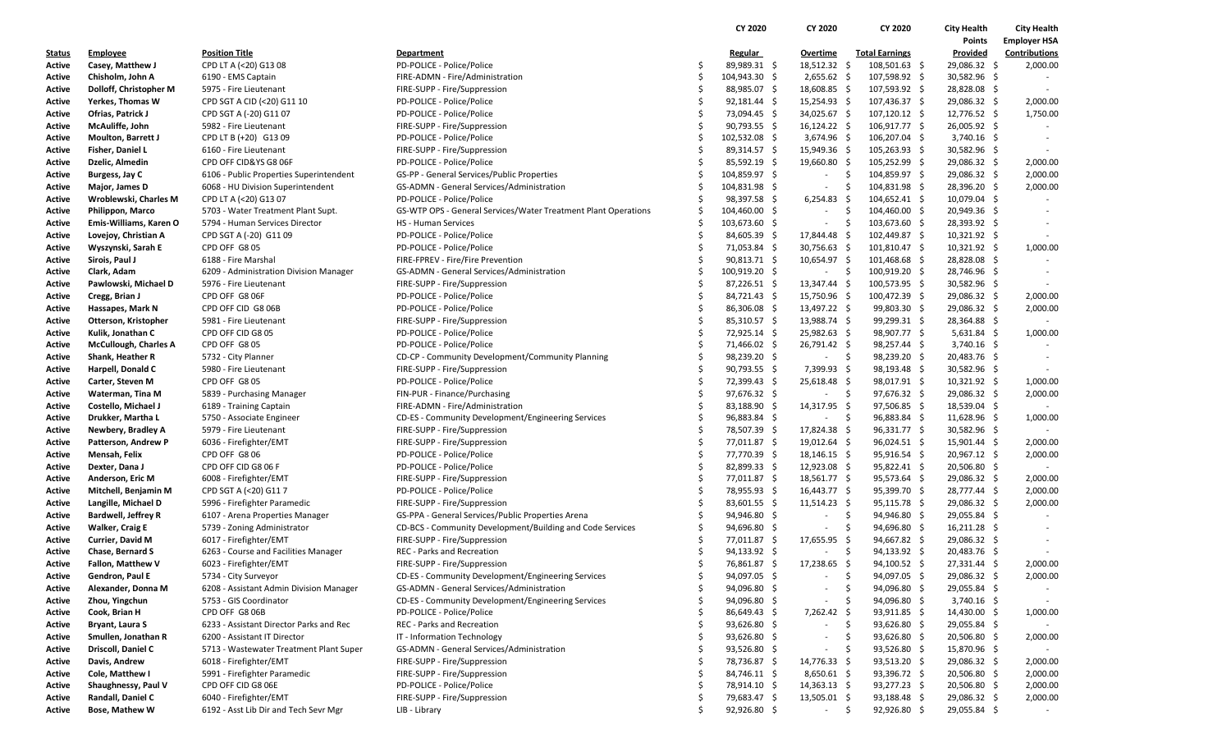|               |                              |                                         |                                                                |    | CY 2020          | CY 2020                  | CY 2020                              | <b>City Health</b> | <b>City Health</b>  |
|---------------|------------------------------|-----------------------------------------|----------------------------------------------------------------|----|------------------|--------------------------|--------------------------------------|--------------------|---------------------|
|               |                              |                                         |                                                                |    |                  |                          |                                      | Points             | <b>Employer HSA</b> |
| <b>Status</b> | <b>Employee</b>              | <b>Position Title</b>                   | <b>Department</b>                                              |    | <b>Regular</b>   | <b>Overtime</b>          | <b>Total Earnings</b>                | Provided           | Contributions       |
| Active        | Casey, Matthew J             | CPD LT A (<20) G13 08                   | PD-POLICE - Police/Police                                      | S  | 89,989.31 \$     | 18,512.32 \$             | 108,501.63 \$                        | 29,086.32 \$       | 2,000.00            |
| Active        | Chisholm, John A             | 6190 - EMS Captain                      | FIRE-ADMN - Fire/Administration                                | Ś  | 104,943.30 \$    | $2,655.62$ \$            | 107,598.92 \$                        | 30,582.96 \$       |                     |
| Active        | Dolloff, Christopher M       | 5975 - Fire Lieutenant                  | FIRE-SUPP - Fire/Suppression                                   | Ŝ. | 88,985.07 \$     | 18,608.85 \$             | 107,593.92 \$                        | 28,828.08 \$       |                     |
| Active        | Yerkes, Thomas W             | CPD SGT A CID (<20) G11 10              | PD-POLICE - Police/Police                                      | Ŝ  | 92,181.44 \$     | $15,254.93$ \$           | 107,436.37 \$                        | 29,086.32 \$       | 2,000.00            |
| Active        | Ofrias, Patrick J            | CPD SGT A (-20) G11 07                  | PD-POLICE - Police/Police                                      |    | 73,094.45 \$     | 34,025.67 \$             | 107,120.12 \$                        | 12,776.52 \$       | 1,750.00            |
| Active        | McAuliffe, John              | 5982 - Fire Lieutenant                  | FIRE-SUPP - Fire/Suppression                                   | Ŝ. | 90,793.55 \$     | $16,124.22 \div$         | 106,917.77 \$                        | 26,005.92 \$       |                     |
| Active        | Moulton, Barrett J           | CPD LT B (+20) G13 09                   | PD-POLICE - Police/Police                                      |    | $102,532.08$ \$  | $3,674.96$ \$            | 106,207.04 \$                        | $3,740.16$ \$      |                     |
| Active        | Fisher, Daniel L             | 6160 - Fire Lieutenant                  | FIRE-SUPP - Fire/Suppression                                   |    | 89,314.57 \$     | 15,949.36 \$             | 105,263.93 \$                        | 30,582.96 \$       |                     |
| Active        | Dzelic, Almedin              | CPD OFF CID&YS G8 06F                   | PD-POLICE - Police/Police                                      | Ŝ  | 85,592.19 \$     | 19,660.80 \$             | 105,252.99 \$                        | 29,086.32 \$       | 2,000.00            |
| Active        | Burgess, Jay C               | 6106 - Public Properties Superintendent | GS-PP - General Services/Public Properties                     |    | 104,859.97 \$    | $\sim$                   | $\ddot{\mathsf{S}}$<br>104,859.97 \$ | 29,086.32 \$       | 2,000.00            |
| Active        | Major, James D               | 6068 - HU Division Superintendent       | GS-ADMN - General Services/Administration                      |    | 104,831.98 \$    | $\sim$                   | 104,831.98 \$<br>.s                  | 28,396.20 \$       | 2,000.00            |
| Active        | Wroblewski, Charles M        | CPD LT A (<20) G13 07                   | PD-POLICE - Police/Police                                      |    | 98,397.58 \$     | $6,254.83$ \$            | 104,652.41 \$                        | 10,079.04 \$       |                     |
| Active        | Philippon, Marco             | 5703 - Water Treatment Plant Supt.      | GS-WTP OPS - General Services/Water Treatment Plant Operations |    | 104,460.00 \$    | $\sim$                   | \$<br>104,460.00 \$                  | 20,949.36 \$       |                     |
| Active        | Emis-Williams, Karen O       | 5794 - Human Services Director          | <b>HS</b> - Human Services                                     |    | 103,673.60 \$    | $\sim$                   | 103,673.60 \$<br>-\$                 | 28,393.92 \$       |                     |
| Active        | Lovejoy, Christian A         | CPD SGT A (-20) G11 09                  | PD-POLICE - Police/Police                                      | Ŝ. | 84,605.39 \$     | 17,844.48 \$             | 102,449.87 \$                        | 10,321.92 \$       |                     |
| Active        | Wyszynski, Sarah E           | CPD OFF G8 05                           | PD-POLICE - Police/Police                                      | .S | 71,053.84 \$     | 30,756.63 \$             | 101,810.47 \$                        | 10,321.92 \$       | 1,000.00            |
| Active        | Sirois, Paul J               | 6188 - Fire Marshal                     | FIRE-FPREV - Fire/Fire Prevention                              |    | 90,813.71 \$     | 10,654.97 \$             | 101,468.68 \$                        | 28,828.08 \$       |                     |
| Active        | Clark, Adam                  | 6209 - Administration Division Manager  | GS-ADMN - General Services/Administration                      | S  | 100,919.20 \$    | $\sim$                   | $\ddot{\mathsf{s}}$<br>100,919.20 \$ | 28,746.96 \$       |                     |
| Active        | Pawlowski, Michael D         | 5976 - Fire Lieutenant                  | FIRE-SUPP - Fire/Suppression                                   | Ŝ  | 87,226.51 \$     | 13,347.44 \$             | 100,573.95 \$                        | 30,582.96 \$       |                     |
| Active        | Cregg, Brian J               | CPD OFF G8 06F                          | PD-POLICE - Police/Police                                      |    | 84,721.43 \$     | 15,750.96 \$             | 100,472.39 \$                        | 29,086.32 \$       | 2,000.00            |
| Active        | Hassapes, Mark N             | CPD OFF CID G8 06B                      | PD-POLICE - Police/Police                                      | \$ | 86,306.08 \$     | 13,497.22 \$             | $99,803.30$ \$                       | 29,086.32 \$       | 2,000.00            |
| Active        | Otterson, Kristopher         | 5981 - Fire Lieutenant                  | FIRE-SUPP - Fire/Suppression                                   | Ŝ. | 85,310.57 \$     | 13,988.74 \$             | 99,299.31 \$                         | 28,364.88 \$       |                     |
| Active        | Kulik, Jonathan C            | CPD OFF CID G8 05                       | PD-POLICE - Police/Police                                      |    | 72,925.14 \$     | 25,982.63 \$             | 98,907.77 \$                         | $5,631.84$ \$      | 1,000.00            |
| Active        | <b>McCullough, Charles A</b> | CPD OFF G8 05                           | PD-POLICE - Police/Police                                      | S  | 71,466.02 \$     | 26,791.42 \$             | 98,257.44 \$                         | $3,740.16$ \$      |                     |
| Active        | Shank, Heather R             | 5732 - City Planner                     | CD-CP - Community Development/Community Planning               | Ŝ  | 98,239.20 \$     | $\sim$                   | \$<br>98,239.20 \$                   | 20,483.76 \$       |                     |
| Active        | Harpell, Donald C            | 5980 - Fire Lieutenant                  | FIRE-SUPP - Fire/Suppression                                   |    | $90,793.55$ \$   | 7,399.93 \$              | 98,193.48 \$                         | 30,582.96 \$       |                     |
| Active        | Carter, Steven M             | CPD OFF G8 05                           | PD-POLICE - Police/Police                                      | \$ | 72,399.43 \$     | $25,618.48$ \$           | 98,017.91 \$                         | $10,321.92 \div$   | 1,000.00            |
| Active        | Waterman, Tina M             | 5839 - Purchasing Manager               | FIN-PUR - Finance/Purchasing                                   | Ŝ. | 97,676.32 \$     | $\sim$                   | -\$<br>$97,676.32$ \$                | 29,086.32 \$       | 2,000.00            |
| Active        | Costello, Michael J          | 6189 - Training Captain                 | FIRE-ADMN - Fire/Administration                                |    | 83,188.90 \$     | 14,317.95 \$             | $97,506.85$ \$                       | 18,539.04 \$       |                     |
| Active        | Drukker, Martha L            | 5750 - Associate Engineer               | CD-ES - Community Development/Engineering Services             |    | 96,883.84 \$     | $\sim$                   | -\$<br>96,883.84 \$                  | 11,628.96 \$       | 1,000.00            |
| Active        | Newbery, Bradley A           | 5979 - Fire Lieutenant                  | FIRE-SUPP - Fire/Suppression                                   | Ŝ  | 78,507.39 \$     | 17,824.38 \$             | 96,331.77 \$                         | 30,582.96 \$       |                     |
| Active        | Patterson, Andrew P          | 6036 - Firefighter/EMT                  | FIRE-SUPP - Fire/Suppression                                   | Ŝ  | 77,011.87 \$     | 19,012.64 \$             | $96,024.51$ \$                       | $15,901.44$ \$     | 2,000.00            |
| Active        | Mensah, Felix                | CPD OFF G8 06                           | PD-POLICE - Police/Police                                      | \$ | 77,770.39 \$     | $18,146.15$ \$           | $95,916.54$ \$                       | 20,967.12 \$       | 2,000.00            |
| Active        | Dexter, Dana J               | CPD OFF CID G8 06 F                     | PD-POLICE - Police/Police                                      | .S | 82,899.33 \$     | $12,923.08 \; \simeq$    | $95,822.41$ \$                       | 20,506.80 \$       |                     |
| Active        | Anderson, Eric M             | 6008 - Firefighter/EMT                  | FIRE-SUPP - Fire/Suppression                                   |    | 77,011.87 \$     | 18,561.77 \$             | $95,573.64$ \$                       | 29,086.32 \$       | 2,000.00            |
| Active        | Mitchell, Benjamin M         | CPD SGT A (<20) G11 7                   | PD-POLICE - Police/Police                                      |    | 78,955.93 \$     | 16,443.77 \$             | 95,399.70 \$                         | 28,777.44 \$       | 2,000.00            |
| Active        | Langille, Michael D          | 5996 - Firefighter Paramedic            | FIRE-SUPP - Fire/Suppression                                   |    | 83,601.55 \$     | 11,514.23 \$             | $95,115.78$ \$                       | 29,086.32 \$       | 2,000.00            |
| Active        | <b>Bardwell, Jeffrey R</b>   | 6107 - Arena Properties Manager         | GS-PPA - General Services/Public Properties Arena              |    | 94,946.80 \$     | $\overline{\phantom{a}}$ | -\$<br>94,946.80 \$                  | 29,055.84 \$       |                     |
| Active        | <b>Walker, Craig E</b>       | 5739 - Zoning Administrator             | CD-BCS - Community Development/Building and Code Services      |    | 94,696.80 \$     | $\sim$                   | \$<br>94,696.80 \$                   | 16,211.28 \$       |                     |
| Active        | Currier, David M             | 6017 - Firefighter/EMT                  | FIRE-SUPP - Fire/Suppression                                   | .S | 77,011.87 \$     | 17,655.95 \$             | 94,667.82 \$                         | 29,086.32 \$       |                     |
| Active        | Chase, Bernard S             | 6263 - Course and Facilities Manager    | REC - Parks and Recreation                                     | .S | $94,133.92 \div$ |                          | -\$<br>$94,133.92$ \$                | 20,483.76 \$       |                     |
| Active        | <b>Fallon, Matthew V</b>     | 6023 - Firefighter/EMT                  | FIRE-SUPP - Fire/Suppression                                   | Ŝ. | 76,861.87 \$     | 17,238.65 \$             | 94,100.52 \$                         | 27,331.44 \$       | 2,000.00            |
| Active        | Gendron, Paul E              | 5734 - City Surveyor                    | CD-ES - Community Development/Engineering Services             | S  | 94,097.05 \$     |                          | -S<br>94,097.05 \$                   | 29,086.32 \$       | 2,000.00            |
| Active        | Alexander, Donna M           | 6208 - Assistant Admin Division Manager | GS-ADMN - General Services/Administration                      | Ŝ  | 94,096.80 \$     | $\sim$                   | \$<br>94,096.80 \$                   | 29,055.84 \$       |                     |
| Active        | Zhou, Yingchun               | 5753 - GIS Coordinator                  | CD-ES - Community Development/Engineering Services             |    | 94,096.80 \$     | $\overline{\phantom{a}}$ | \$<br>94,096.80 \$                   | $3,740.16$ \$      |                     |
| Active        | Cook, Brian H                | CPD OFF G8 06B                          | PD-POLICE - Police/Police                                      | S  | 86,649.43 \$     | 7,262.42 \$              | $93,911.85$ \$                       | 14,430.00 \$       | 1,000.00            |
| Active        | Bryant, Laura S              | 6233 - Assistant Director Parks and Rec | REC - Parks and Recreation                                     | S  | $93,626.80$ \$   | $\sim$                   | $93,626.80$ \$<br>-\$                | 29,055.84 \$       |                     |
| Active        | Smullen, Jonathan R          | 6200 - Assistant IT Director            | IT - Information Technology                                    |    | $93,626.80$ \$   | $\overline{\phantom{a}}$ | \$<br>$93,626.80$ \$                 | 20,506.80 \$       | 2,000.00            |
| Active        | Driscoll, Daniel C           | 5713 - Wastewater Treatment Plant Super | GS-ADMN - General Services/Administration                      |    | $93,526.80$ \$   | ٠                        | \$<br>$93,526.80$ \$                 | 15,870.96 \$       |                     |
| Active        | Davis, Andrew                | 6018 - Firefighter/EMT                  | FIRE-SUPP - Fire/Suppression                                   | .s | 78,736.87 \$     | 14,776.33 \$             | $93,513.20$ \$                       | 29,086.32 \$       | 2,000.00            |
| Active        | Cole, Matthew I              | 5991 - Firefighter Paramedic            | FIRE-SUPP - Fire/Suppression                                   |    | 84,746.11 \$     | $8,650.61$ \$            | 93,396.72 \$                         | 20,506.80 \$       | 2,000.00            |
| Active        | Shaughnessy, Paul V          | CPD OFF CID G8 06E                      | PD-POLICE - Police/Police                                      |    | 78,914.10 \$     | $14,363.13$ \$           | 93,277.23 \$                         | 20,506.80 \$       | 2,000.00            |
| Active        | Randall, Daniel C            | 6040 - Firefighter/EMT                  | FIRE-SUPP - Fire/Suppression                                   | \$ | 79,683.47 \$     | $13,505.01$ \$           | 93,188.48 \$                         | 29,086.32 \$       | 2,000.00            |
|               | <b>Bose, Mathew W</b>        | 6192 - Asst Lib Dir and Tech Sevr Mgr   | LIB - Library                                                  |    | $92,926.80$ \$   |                          | \$<br>$92,926.80$ \$                 | 29,055.84 \$       |                     |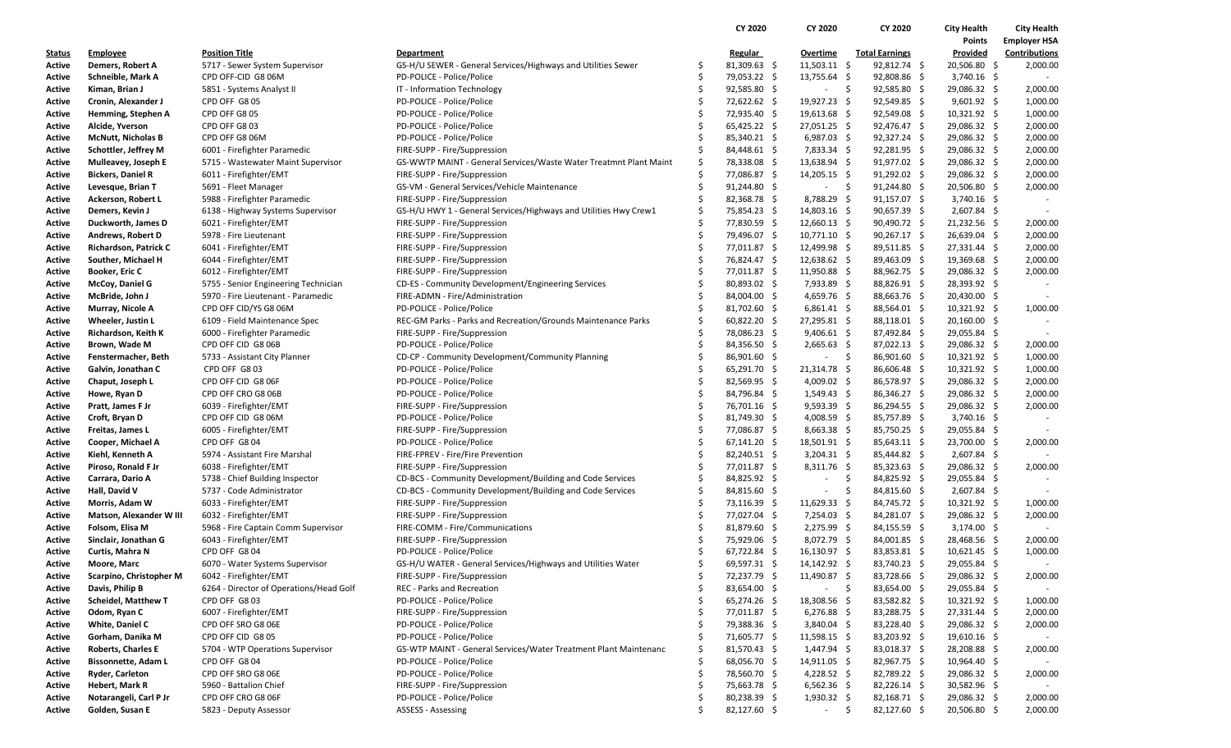|               |                              |                                         |                                                                   |     | CY 2020        | CY 2020                  | CY 2020               | <b>City Health</b> | <b>City Health</b>  |
|---------------|------------------------------|-----------------------------------------|-------------------------------------------------------------------|-----|----------------|--------------------------|-----------------------|--------------------|---------------------|
|               |                              |                                         |                                                                   |     |                |                          |                       | Points             | <b>Employer HSA</b> |
| <u>Status</u> | <b>Employee</b>              | Position Title                          | <b>Department</b>                                                 |     | <b>Regular</b> | Overtime                 | <b>Total Earnings</b> | Provided           | Contributions       |
| Active        | Demers, Robert A             | 5717 - Sewer System Supervisor          | GS-H/U SEWER - General Services/Highways and Utilities Sewer      | \$, | 81,309.63 \$   | $11,503.11$ \$           | 92,812.74 \$          | 20,506.80 \$       | 2,000.00            |
| Active        | Schneible, Mark A            | CPD OFF-CID G8 06M                      | PD-POLICE - Police/Police                                         | Ś   | 79,053.22 \$   | 13,755.64 \$             | 92,808.86 \$          | $3,740.16$ \$      |                     |
| Active        | Kiman, Brian J               | 5851 - Systems Analyst II               | IT - Information Technology                                       | \$  | 92,585.80 \$   | $-5$                     | 92,585.80 \$          | 29,086.32 \$       | 2,000.00            |
| Active        | Cronin, Alexander J          | CPD OFF G8 05                           | PD-POLICE - Police/Police                                         |     | 72,622.62 \$   | 19,927.23 \$             | $92,549.85$ \$        | $9,601.92 \div$    | 1,000.00            |
| Active        | Hemming, Stephen A           | CPD OFF G8 05                           | PD-POLICE - Police/Police                                         | Ś   | 72,935.40 \$   | $19,613.68$ \$           | $92,549.08$ \$        | $10,321.92 \div$   | 1,000.00            |
| Active        | Alcide, Yverson              | CPD OFF G8 03                           | PD-POLICE - Police/Police                                         | \$  | 65,425.22 \$   | 27,051.25 \$             | 92,476.47 \$          | 29,086.32 \$       | 2,000.00            |
| Active        | <b>McNutt, Nicholas B</b>    | CPD OFF G8 06M                          | PD-POLICE - Police/Police                                         |     | 85,340.21 \$   | $6,987.03$ \$            | $92,327.24$ \$        | 29,086.32 \$       | 2,000.00            |
| Active        | Schottler, Jeffrey M         | 6001 - Firefighter Paramedic            | FIRE-SUPP - Fire/Suppression                                      | Ś   | 84,448.61 \$   | $7,833.34$ \$            | $92,281.95$ \$        | 29,086.32 \$       | 2,000.00            |
| Active        | Mulleavey, Joseph E          | 5715 - Wastewater Maint Supervisor      | GS-WWTP MAINT - General Services/Waste Water Treatmnt Plant Maint | \$  | 78,338.08 \$   | 13,638.94 \$             | 91,977.02 \$          | 29,086.32 \$       | 2,000.00            |
| Active        | <b>Bickers, Daniel R</b>     | 6011 - Firefighter/EMT                  | FIRE-SUPP - Fire/Suppression                                      | Ś   | 77,086.87 \$   | $14,205.15$ \$           | $91,292.02$ \$        | 29,086.32 \$       | 2,000.00            |
| Active        | Levesque, Brian T            | 5691 - Fleet Manager                    | GS-VM - General Services/Vehicle Maintenance                      | Ś   | $91,244.80$ \$ |                          | - \$<br>91,244.80 \$  | 20,506.80 \$       | 2,000.00            |
| Active        | Ackerson, Robert L           | 5988 - Firefighter Paramedic            | FIRE-SUPP - Fire/Suppression                                      | \$  | 82,368.78 \$   | $8,788.29$ \$            | 91,157.07 \$          | $3,740.16$ \$      |                     |
| Active        | Demers, Kevin J              | 6138 - Highway Systems Supervisor       | GS-H/U HWY 1 - General Services/Highways and Utilities Hwy Crew1  | \$  | 75,854.23 \$   | $14,803.16 \pm 5$        | $90,657.39$ \$        | $2,607.84$ \$      |                     |
| Active        | Duckworth, James D           | 6021 - Firefighter/EMT                  | FIRE-SUPP - Fire/Suppression                                      | Ś   | 77,830.59 \$   | 12,660.13 \$             | 90,490.72 \$          | 21,232.56 \$       | 2,000.00            |
| Active        | Andrews, Robert D            | 5978 - Fire Lieutenant                  | FIRE-SUPP - Fire/Suppression                                      | \$  | 79,496.07 \$   | $10,771.10 \pm 10$       | 90,267.17 \$          | 26,639.04 \$       | 2,000.00            |
| Active        | <b>Richardson, Patrick C</b> | 6041 - Firefighter/EMT                  | FIRE-SUPP - Fire/Suppression                                      | Ś   | 77,011.87 \$   | 12,499.98 \$             | 89,511.85 \$          | 27,331.44 \$       | 2,000.00            |
| Active        | Souther, Michael H           | 6044 - Firefighter/EMT                  | FIRE-SUPP - Fire/Suppression                                      | Ś   | 76,824.47 \$   | 12,638.62 \$             | 89,463.09 \$          | 19,369.68 \$       | 2,000.00            |
| Active        | <b>Booker, Eric C</b>        | 6012 - Firefighter/EMT                  | FIRE-SUPP - Fire/Suppression                                      | \$  | 77,011.87 \$   | $11,950.88$ \$           | 88,962.75 \$          | 29,086.32 \$       | 2,000.00            |
| Active        | McCoy, Daniel G              | 5755 - Senior Engineering Technician    | CD-ES - Community Development/Engineering Services                | Ś   | 80,893.02 \$   | $7,933.89$ \$            | 88,826.91 \$          | 28,393.92 \$       |                     |
| Active        | McBride, John J              | 5970 - Fire Lieutenant - Paramedic      | FIRE-ADMN - Fire/Administration                                   | Ś   | 84,004.00 \$   | 4,659.76 \$              | 88,663.76 \$          | 20,430.00 \$       |                     |
| Active        | Murray, Nicole A             | CPD OFF CID/YS G8 06M                   | PD-POLICE - Police/Police                                         | \$  | 81,702.60 \$   | $6,861.41 \quad $$       | 88,564.01 \$          | $10,321.92$ \$     | 1,000.00            |
| Active        | Wheeler, Justin L            | 6109 - Field Maintenance Spec           | REC-GM Parks - Parks and Recreation/Grounds Maintenance Parks     | Ś   | 60,822.20 \$   | 27,295.81 \$             | 88,118.01 \$          | 20,160.00 \$       |                     |
| Active        | Richardson, Keith K          | 6000 - Firefighter Paramedic            | FIRE-SUPP - Fire/Suppression                                      | \$  | 78,086.23 \$   | $9,406.61$ \$            | 87,492.84 \$          | 29,055.84 \$       |                     |
| Active        | Brown, Wade M                | CPD OFF CID G8 06B                      | PD-POLICE - Police/Police                                         | \$  | 84,356.50 \$   | $2,665.63$ \$            | $87,022.13$ \$        | 29,086.32 \$       | 2,000.00            |
| Active        | Fenstermacher, Beth          | 5733 - Assistant City Planner           | CD-CP - Community Development/Community Planning                  |     | 86,901.60 \$   | $\overline{\phantom{a}}$ | - \$<br>86,901.60 \$  | 10,321.92 \$       | 1,000.00            |
| Active        | Galvin, Jonathan C           | CPD OFF G803                            | PD-POLICE - Police/Police                                         | Ś   | 65,291.70 \$   | $21,314.78$ \$           | 86,606.48 \$          | $10,321.92$ \$     | 1,000.00            |
| Active        | Chaput, Joseph L             | CPD OFF CID G8 06F                      | PD-POLICE - Police/Police                                         | \$  | $82,569.95$ \$ | 4,009.02 \$              | 86,578.97 \$          | 29,086.32 \$       | 2,000.00            |
| Active        | Howe, Ryan D                 | CPD OFF CRO G8 06B                      | PD-POLICE - Police/Police                                         |     | 84,796.84 \$   | $1,549.43$ \$            | 86,346.27 \$          | 29,086.32 \$       | 2,000.00            |
| Active        | Pratt, James F Jr            | 6039 - Firefighter/EMT                  | FIRE-SUPP - Fire/Suppression                                      | Ś   | 76,701.16 \$   | $9,593.39$ \$            | 86,294.55 \$          | 29,086.32 \$       | 2,000.00            |
| Active        | Croft, Bryan D               | CPD OFF CID G8 06M                      | PD-POLICE - Police/Police                                         | \$  | 81,749.30 \$   | 4,008.59 \$              | 85,757.89 \$          | $3,740.16$ \$      |                     |
| Active        | Freitas, James L             | 6005 - Firefighter/EMT                  | FIRE-SUPP - Fire/Suppression                                      |     | 77,086.87 \$   | $8,663.38$ \$            | 85,750.25 \$          | 29,055.84 \$       |                     |
| Active        | Cooper, Michael A            | CPD OFF G804                            | PD-POLICE - Police/Police                                         | Ś   | $67,141.20$ \$ | 18,501.91 \$             | $85,643.11$ \$        | 23,700.00 \$       | 2,000.00            |
| Active        | Kiehl, Kenneth A             | 5974 - Assistant Fire Marshal           | FIRE-FPREV - Fire/Fire Prevention                                 | \$  | 82,240.51 \$   | $3,204.31 \quad $$       | 85,444.82 \$          | $2,607.84$ \$      |                     |
| Active        | Piroso, Ronald F Jr          | 6038 - Firefighter/EMT                  | FIRE-SUPP - Fire/Suppression                                      |     | 77,011.87 \$   | $8,311.76$ \$            | $85,323.63$ \$        | 29,086.32 \$       | 2,000.00            |
| Active        | Carrara, Dario A             | 5738 - Chief Building Inspector         | CD-BCS - Community Development/Building and Code Services         | Ś   | 84,825.92 \$   | $\overline{\phantom{a}}$ | \$<br>84,825.92 \$    | 29,055.84 \$       |                     |
| Active        | Hall, David V                | 5737 - Code Administrator               | CD-BCS - Community Development/Building and Code Services         | \$  | 84,815.60 \$   | $\overline{\phantom{a}}$ | \$<br>84,815.60 \$    | $2,607.84$ \$      |                     |
| Active        | Morris, Adam W               | 6033 - Firefighter/EMT                  | FIRE-SUPP - Fire/Suppression                                      |     | 73,116.39 \$   | $11,629.33$ \$           | 84,745.72 \$          | $10,321.92 \div$   | 1,000.00            |
| Active        | Matson, Alexander W III      | 6032 - Firefighter/EMT                  | FIRE-SUPP - Fire/Suppression                                      | Ś   | 77,027.04 \$   | $7,254.03$ \$            | 84,281.07 \$          | 29,086.32 \$       | 2,000.00            |
| Active        | Folsom, Elisa M              | 5968 - Fire Captain Comm Supervisor     | FIRE-COMM - Fire/Communications                                   | Ś   | 81,879.60 \$   | $2,275.99$ \$            | 84,155.59 \$          | $3,174.00$ \$      |                     |
| Active        | Sinclair, Jonathan G         | 6043 - Firefighter/EMT                  | FIRE-SUPP - Fire/Suppression                                      |     | 75,929.06 \$   | 8,072.79 \$              | 84,001.85 \$          | 28,468.56 \$       | 2,000.00            |
| Active        | Curtis, Mahra N              | CPD OFF G8 04                           | PD-POLICE - Police/Police                                         | Ś   | 67,722.84 \$   | 16,130.97 \$             | 83,853.81 \$          | $10,621.45$ \$     | 1,000.00            |
| Active        | Moore, Marc                  | 6070 - Water Systems Supervisor         | GS-H/U WATER - General Services/Highways and Utilities Water      | Ś   | 69,597.31 \$   | 14,142.92 \$             | 83,740.23 \$          | 29,055.84 \$       |                     |
| Active        | Scarpino, Christopher M      | 6042 - Firefighter/EMT                  | FIRE-SUPP - Fire/Suppression                                      | \$  | 72,237.79 \$   | 11,490.87 \$             | 83,728.66 \$          | 29,086.32 \$       | 2,000.00            |
| Active        | Davis, Philip B              | 6264 - Director of Operations/Head Golf | <b>REC - Parks and Recreation</b>                                 | Ś   | 83,654.00 \$   | $-5$                     | 83,654.00 \$          | 29,055.84 \$       |                     |
| Active        | <b>Scheidel, Matthew T</b>   | CPD OFF G803                            | PD-POLICE - Police/Police                                         |     | 65,274.26 \$   | 18,308.56 \$             | 83,582.82 \$          | $10,321.92 \div$   | 1,000.00            |
| Active        | Odom, Ryan C                 | 6007 - Firefighter/EMT                  | FIRE-SUPP - Fire/Suppression                                      |     | 77,011.87 \$   | $6,276.88$ \$            | 83,288.75 \$          | 27,331.44 \$       | 2,000.00            |
| Active        | White, Daniel C              | CPD OFF SRO G8 06E                      | PD-POLICE - Police/Police                                         | \$  | 79,388.36 \$   | $3,840.04$ \$            | 83,228.40 \$          | 29,086.32 \$       | 2,000.00            |
| Active        | Gorham, Danika M             | CPD OFF CID G8 05                       | PD-POLICE - Police/Police                                         |     | 71,605.77 \$   | $11,598.15$ \$           | 83,203.92 \$          | $19,610.16$ \$     | $\sim$              |
| Active        | <b>Roberts, Charles E</b>    | 5704 - WTP Operations Supervisor        | GS-WTP MAINT - General Services/Water Treatment Plant Maintenanc  |     | 81,570.43 \$   | 1,447.94 \$              | 83,018.37 \$          | 28,208.88 \$       | 2,000.00            |
| Active        | <b>Bissonnette, Adam L</b>   | CPD OFF G804                            | PD-POLICE - Police/Police                                         |     | 68,056.70 \$   | 14,911.05 \$             | 82,967.75 \$          | $10,964.40$ \$     |                     |
| Active        | Ryder, Carleton              | CPD OFF SRO G8 06E                      | PD-POLICE - Police/Police                                         |     | 78,560.70 \$   | 4,228.52 \$              | 82,789.22 \$          | 29,086.32 \$       | 2,000.00            |
| Active        | Hebert, Mark R               | 5960 - Battalion Chief                  | FIRE-SUPP - Fire/Suppression                                      | Ś   | 75,663.78 \$   | $6,562.36$ \$            | 82,226.14 \$          | 30,582.96 \$       |                     |
| Active        | Notarangeli, Carl P Jr       | CPD OFF CRO G8 06F                      | PD-POLICE - Police/Police                                         | \$  | 80,238.39 \$   | $1,930.32$ \$            | 82,168.71 \$          | 29,086.32 \$       | 2,000.00            |
| Active        | Golden, Susan E              | 5823 - Deputy Assessor                  | <b>ASSESS - Assessing</b>                                         |     | 82,127.60 \$   | $\sigma_{\rm{max}}$      | \$<br>82,127.60 \$    | 20,506.80 \$       | 2,000.00            |
|               |                              |                                         |                                                                   |     |                |                          |                       |                    |                     |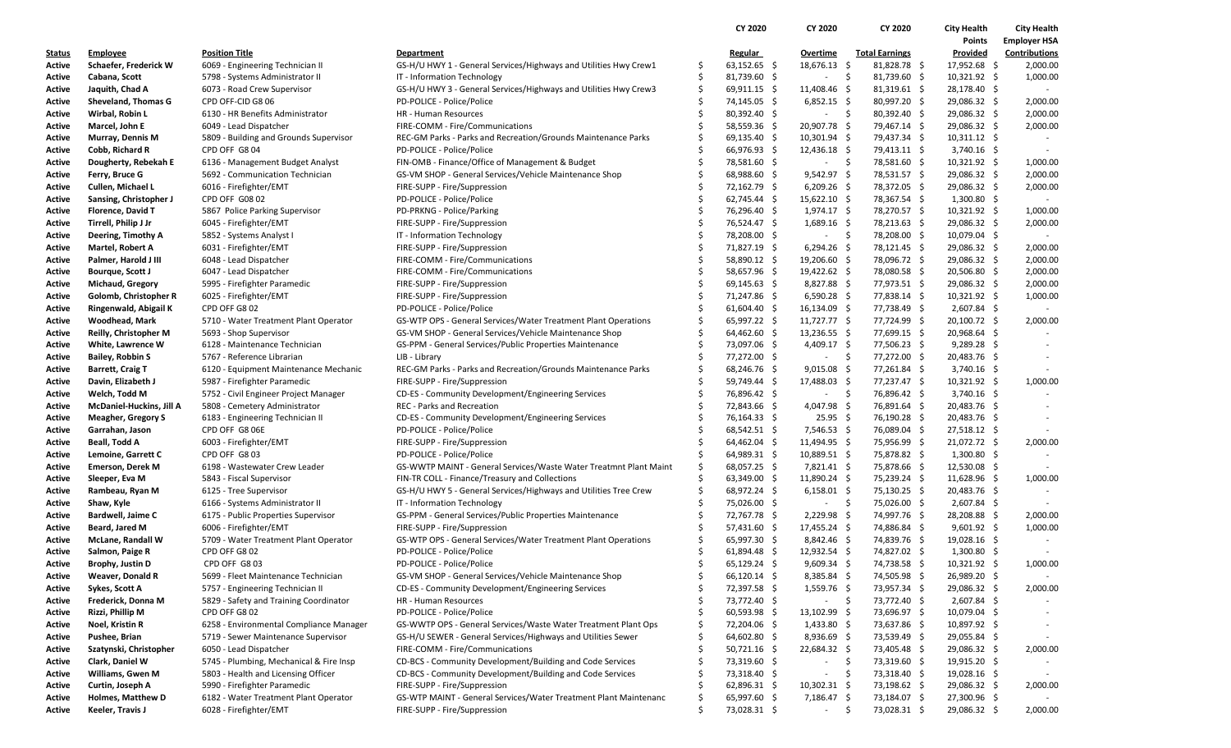|                  |                                     |                                                                                |                                                                                           |          | CY 2020                      | <b>CY 2020</b>                | CY 2020                      | <b>City Health</b>             | <b>City Health</b>   |
|------------------|-------------------------------------|--------------------------------------------------------------------------------|-------------------------------------------------------------------------------------------|----------|------------------------------|-------------------------------|------------------------------|--------------------------------|----------------------|
|                  |                                     |                                                                                |                                                                                           |          |                              |                               |                              | Points                         | <b>Employer HSA</b>  |
| <u>Status</u>    | <b>Employee</b>                     | <b>Position Title</b>                                                          | Department                                                                                |          | <b>Regular</b>               | Overtime                      | <b>Total Earnings</b>        | Provided                       | <b>Contributions</b> |
| Active           | Schaefer, Frederick W               | 6069 - Engineering Technician II                                               | GS-H/U HWY 1 - General Services/Highways and Utilities Hwy Crew1                          | \$,      | $63,152.65$ \$               | 18,676.13 \$                  | 81,828.78 \$                 | 17,952.68 \$                   | 2,000.00             |
| Active           | Cabana, Scott                       | 5798 - Systems Administrator II                                                | IT - Information Technology                                                               | \$       | 81,739.60 \$                 | - \$<br>$\sim$                | 81,739.60 \$                 | $10,321.92$ \$                 | 1,000.00             |
| Active           | Jaquith, Chad A                     | 6073 - Road Crew Supervisor                                                    | GS-H/U HWY 3 - General Services/Highways and Utilities Hwy Crew3                          | \$       | $69,911.15$ \$               | 11,408.46 \$                  | $81,319.61$ \$               | 28,178.40 \$                   |                      |
| Active           | Sheveland, Thomas G                 | CPD OFF-CID G8 06                                                              | PD-POLICE - Police/Police                                                                 | Ŝ        | 74,145.05 \$                 | $6,852.15$ \$                 | 80,997.20 \$                 | 29,086.32 \$                   | 2,000.00             |
| Active           | Wirbal, Robin L                     | 6130 - HR Benefits Administrator                                               | HR - Human Resources                                                                      | Ś        | 80,392.40 \$                 | - \$<br>$\sim$                | 80,392.40 \$                 | 29,086.32 \$                   | 2,000.00             |
| Active           | Marcel, John E                      | 6049 - Lead Dispatcher                                                         | FIRE-COMM - Fire/Communications                                                           | Ŝ        | 58,559.36 \$                 | 20,907.78 \$                  | 79,467.14 \$                 | 29,086.32 \$                   | 2,000.00             |
| Active           | Murray, Dennis M                    | 5809 - Building and Grounds Supervisor                                         | REC-GM Parks - Parks and Recreation/Grounds Maintenance Parks                             |          | $69,135.40$ \$               | $10,301.94$ \$                | 79,437.34 \$                 | $10,311.12 \div$               |                      |
| Active           | Cobb, Richard R                     | CPD OFF G804                                                                   | PD-POLICE - Police/Police                                                                 |          | 66,976.93 \$                 | 12,436.18 \$                  | 79,413.11 \$                 | $3,740.16$ \$                  |                      |
| Active           | Dougherty, Rebekah E                | 6136 - Management Budget Analyst                                               | FIN-OMB - Finance/Office of Management & Budget                                           | \$       | 78,581.60 \$                 | - \$<br>$\sim$                | 78,581.60 \$                 | 10,321.92 \$                   | 1,000.00             |
| Active           | Ferry, Bruce G                      | 5692 - Communication Technician                                                | GS-VM SHOP - General Services/Vehicle Maintenance Shop                                    |          | 68,988.60 \$                 | 9,542.97 \$                   | 78,531.57 \$                 | 29,086.32 \$                   | 2,000.00             |
| Active           | Cullen, Michael L                   | 6016 - Firefighter/EMT                                                         | FIRE-SUPP - Fire/Suppression                                                              | Ŝ        | 72,162.79 \$                 | $6,209.26$ \$                 | 78,372.05 \$                 | 29,086.32 \$                   | 2,000.00             |
| Active           | Sansing, Christopher J              | CPD OFF G08 02                                                                 | PD-POLICE - Police/Police                                                                 | Ŝ        | $62,745.44$ \$               | $15,622.10$ \$                | 78,367.54 \$                 | $1,300.80$ \$                  |                      |
| Active           | Florence, David T                   | 5867 Police Parking Supervisor                                                 | PD-PRKNG - Police/Parking                                                                 |          | 76,296.40 \$                 | $1,974.17$ \$                 | 78,270.57 \$                 | 10,321.92 \$                   | 1,000.00             |
| Active           | Tirrell, Philip J Jr                | 6045 - Firefighter/EMT                                                         | FIRE-SUPP - Fire/Suppression                                                              | Ŝ        | 76,524.47 \$                 | $1,689.16$ \$                 | 78,213.63 \$                 | 29,086.32 \$                   | 2,000.00             |
| Active           | Deering, Timothy A                  | 5852 - Systems Analyst I                                                       | IT - Information Technology                                                               | \$       | 78,208.00 \$                 | $-5$                          | 78,208.00 \$                 | 10,079.04 \$                   |                      |
| Active           | Martel, Robert A                    | 6031 - Firefighter/EMT                                                         | FIRE-SUPP - Fire/Suppression                                                              |          | 71,827.19 \$                 | $6,294.26$ \$                 | 78,121.45 \$                 | 29,086.32 \$                   | 2,000.00             |
| Active           | Palmer, Harold J III                | 6048 - Lead Dispatcher                                                         | FIRE-COMM - Fire/Communications                                                           | Ŝ        | 58,890.12 \$                 | 19,206.60 \$                  | 78,096.72 \$                 | 29,086.32 \$                   | 2,000.00             |
| Active           | Bourque, Scott J                    | 6047 - Lead Dispatcher                                                         | FIRE-COMM - Fire/Communications                                                           | \$.      | 58,657.96 \$                 | 19,422.62 \$                  | 78,080.58 \$                 | 20,506.80 \$                   | 2,000.00             |
| Active           | <b>Michaud, Gregory</b>             | 5995 - Firefighter Paramedic                                                   | FIRE-SUPP - Fire/Suppression                                                              |          | 69,145.63 \$                 | $8,827.88$ \$                 | 77,973.51 \$                 | 29,086.32 \$                   | 2,000.00             |
| Active           | Golomb, Christopher R               | 6025 - Firefighter/EMT                                                         | FIRE-SUPP - Fire/Suppression                                                              | Ŝ        | 71,247.86 \$                 | $6,590.28$ \$                 | 77,838.14 \$                 | 10,321.92 \$                   | 1,000.00             |
| Active           | Ringenwald, Abigail K               | CPD OFF G802                                                                   | PD-POLICE - Police/Police                                                                 | \$       | $61,604.40$ \$               | $16,134.09$ \$                | 77,738.49 \$                 | 2,607.84 \$                    |                      |
| Active           | <b>Woodhead, Mark</b>               | 5710 - Water Treatment Plant Operator                                          | GS-WTP OPS - General Services/Water Treatment Plant Operations                            | Ś        | 65,997.22 \$                 | 11,727.77 \$                  | 77,724.99 \$                 | 20,100.72 \$                   | 2,000.00             |
| Active           | Reilly, Christopher M               | 5693 - Shop Supervisor                                                         | GS-VM SHOP - General Services/Vehicle Maintenance Shop                                    | Ŝ        | 64,462.60 \$                 | $13,236.55$ \$                | 77,699.15 \$                 | 20,968.64 \$                   |                      |
| Active           | White, Lawrence W                   | 6128 - Maintenance Technician                                                  | GS-PPM - General Services/Public Properties Maintenance                                   | \$.      | 73,097.06 \$                 | 4,409.17 \$                   | 77,506.23 \$                 | $9,289.28$ \$                  |                      |
| Active           | <b>Bailey, Robbin S</b>             | 5767 - Reference Librarian                                                     | LIB - Library                                                                             | Ŝ        | 77,272.00 \$                 | - \$<br>$\sim$                | 77,272.00 \$                 | 20,483.76 \$                   |                      |
| Active           | <b>Barrett, Craig T</b>             | 6120 - Equipment Maintenance Mechanic                                          | REC-GM Parks - Parks and Recreation/Grounds Maintenance Parks                             | Ŝ        | 68,246.76 \$                 | $9,015.08$ \$                 | 77,261.84 \$                 | $3,740.16$ \$                  |                      |
| Active           | Davin, Elizabeth J                  | 5987 - Firefighter Paramedic                                                   | FIRE-SUPP - Fire/Suppression                                                              | Ŝ        | 59,749.44 \$                 | 17,488.03 \$                  | 77,237.47 \$                 | $10,321.92$ \$                 | 1,000.00             |
| Active           | Welch, Todd M                       | 5752 - Civil Engineer Project Manager                                          | CD-ES - Community Development/Engineering Services                                        | Ŝ        | 76,896.42 \$                 | $\ddot{\mathsf{s}}$<br>$\sim$ | 76,896.42 \$                 | $3,740.16$ \$                  |                      |
| Active           | McDaniel-Huckins, Jill A            | 5808 - Cemetery Administrator                                                  | REC - Parks and Recreation                                                                |          | 72,843.66 \$                 | 4,047.98 \$                   | 76,891.64 \$                 | 20,483.76 \$                   |                      |
| Active           | <b>Meagher, Gregory S</b>           | 6183 - Engineering Technician II                                               | CD-ES - Community Development/Engineering Services                                        | S        | 76,164.33 \$                 | $25.95\frac{2}{3}$            | 76,190.28 \$                 | 20,483.76 \$                   |                      |
| Active           | Garrahan, Jason                     | CPD OFF G8 06E                                                                 | PD-POLICE - Police/Police                                                                 |          | 68,542.51 \$                 | $7,546.53$ \$                 | 76,089.04 \$                 | $27,518.12 \div$               |                      |
| Active           | <b>Beall, Todd A</b>                | 6003 - Firefighter/EMT                                                         | FIRE-SUPP - Fire/Suppression                                                              | S        | 64,462.04 \$                 | 11,494.95 \$                  | 75,956.99 \$                 | 21,072.72 \$                   | 2,000.00             |
| Active           | Lemoine, Garrett C                  | CPD OFF G803                                                                   | PD-POLICE - Police/Police                                                                 | \$       | 64,989.31 \$                 | 10,889.51 \$                  | 75,878.82 \$                 | $1,300.80$ \$                  |                      |
| Active           | <b>Emerson, Derek M</b>             | 6198 - Wastewater Crew Leader                                                  | GS-WWTP MAINT - General Services/Waste Water Treatmnt Plant Maint                         | Ŝ.       | $68,057.25$ \$               | $7,821.41$ \$                 | 75,878.66 \$                 | 12,530.08 \$                   |                      |
| Active           | Sleeper, Eva M                      | 5843 - Fiscal Supervisor                                                       | FIN-TR COLL - Finance/Treasury and Collections                                            | Ŝ.       | 63,349.00 \$                 | $11,890.24$ \$                | 75,239.24 \$                 | $11,628.96$ \$                 | 1,000.00             |
| Active           | Rambeau, Ryan M                     | 6125 - Tree Supervisor                                                         | GS-H/U HWY 5 - General Services/Highways and Utilities Tree Crew                          | \$       | 68,972.24 \$                 | $6,158.01$ \$                 | 75,130.25 \$                 | 20,483.76 \$                   |                      |
| Active           | Shaw, Kyle                          | 6166 - Systems Administrator II                                                | IT - Information Technology                                                               | Ŝ        | 75,026.00 \$                 | - \$<br>$\sim$                | 75,026.00 \$                 | 2,607.84 \$                    |                      |
| Active           | <b>Bardwell, Jaime C</b>            | 6175 - Public Properties Supervisor                                            | GS-PPM - General Services/Public Properties Maintenance                                   | Ŝ        | 72,767.78 \$                 | $2,229.98$ \$                 | 74,997.76 \$                 | 28,208.88 \$                   | 2,000.00             |
| Active           | Beard, Jared M                      | 6006 - Firefighter/EMT                                                         | FIRE-SUPP - Fire/Suppression                                                              | \$       | 57,431.60 \$                 | 17,455.24 \$                  | 74,886.84 \$                 | $9,601.92$ \$                  | 1,000.00             |
| Active           | <b>McLane, Randall W</b>            | 5709 - Water Treatment Plant Operator                                          | GS-WTP OPS - General Services/Water Treatment Plant Operations                            | Ŝ        | 65,997.30 \$                 | 8,842.46 \$                   | 74,839.76 \$                 | 19,028.16 \$                   |                      |
| Active           | Salmon, Paige R                     | CPD OFF G8 02                                                                  | PD-POLICE - Police/Police                                                                 | Ŝ        | 61,894.48 \$                 | $12,932.54$ \$                | 74,827.02 \$                 | $1,300.80$ \$                  |                      |
| Active           | Brophy, Justin D                    | CPD OFF G803                                                                   | PD-POLICE - Police/Police                                                                 | Ŝ        | $65,129.24$ \$               | $9,609.34$ \$                 | 74,738.58 \$                 | 10,321.92 \$                   | 1,000.00             |
| Active           | Weaver, Donald R                    | 5699 - Fleet Maintenance Technician                                            | GS-VM SHOP - General Services/Vehicle Maintenance Shop                                    |          | 66,120.14 \$                 | 8,385.84 \$                   | 74,505.98 \$                 | 26,989.20 \$                   |                      |
| Active           | Sykes, Scott A                      | 5757 - Engineering Technician II                                               | CD-ES - Community Development/Engineering Services                                        |          | 72,397.58 \$                 | $1,559.76$ \$                 | 73,957.34 \$                 | 29,086.32 \$                   | 2,000.00             |
| Active           | Frederick, Donna M                  | 5829 - Safety and Training Coordinator                                         | HR - Human Resources                                                                      |          | 73,772.40 \$                 | - \$<br>$\sim$                | 73,772.40 \$                 | 2,607.84 \$                    |                      |
| Active           | Rizzi, Phillip M                    | CPD OFF G8 02                                                                  | PD-POLICE - Police/Police                                                                 |          | $60,593.98$ \$               | $13,102.99$ \$                | 73,696.97 \$                 | $10,079.04$ \$                 |                      |
| Active           | Noel, Kristin R                     | 6258 - Environmental Compliance Manager                                        | GS-WWTP OPS - General Services/Waste Water Treatment Plant Ops                            | S        | 72,204.06 \$                 | $1,433.80$ \$                 | 73,637.86 \$                 | 10,897.92 \$                   |                      |
| Active           | Pushee, Brian                       | 5719 - Sewer Maintenance Supervisor                                            | GS-H/U SEWER - General Services/Highways and Utilities Sewer                              |          | 64,602.80 \$                 | $8,936.69$ \$                 | 73,539.49 \$                 | 29,055.84 \$                   |                      |
| Active           | Szatynski, Christopher              | 6050 - Lead Dispatcher                                                         | FIRE-COMM - Fire/Communications                                                           | S<br>\$. | $50,721.16$ \$               | 22,684.32 \$                  | 73,405.48 \$<br>-\$          | 29,086.32 \$                   | 2,000.00             |
| Active           | Clark, Daniel W<br>Williams, Gwen M | 5745 - Plumbing, Mechanical & Fire Insp<br>5803 - Health and Licensing Officer | CD-BCS - Community Development/Building and Code Services                                 |          | 73,319.60 \$                 | $\sim$                        | 73,319.60 \$<br>\$           | 19,915.20 \$<br>$19,028.16$ \$ |                      |
| Active<br>Active | Curtin, Joseph A                    | 5990 - Firefighter Paramedic                                                   | CD-BCS - Community Development/Building and Code Services<br>FIRE-SUPP - Fire/Suppression |          | 73,318.40 \$<br>62,896.31 \$ | $10,302.31$ \$                | 73,318.40 \$<br>73,198.62 \$ | 29,086.32 \$                   | 2,000.00             |
| Active           | <b>Holmes, Matthew D</b>            | 6182 - Water Treatment Plant Operator                                          | GS-WTP MAINT - General Services/Water Treatment Plant Maintenanc                          | \$       | 65,997.60 \$                 | 7,186.47 \$                   | 73,184.07 \$                 | 27,300.96 \$                   |                      |
| Active           | Keeler, Travis J                    | 6028 - Firefighter/EMT                                                         | FIRE-SUPP - Fire/Suppression                                                              | S        | 73,028.31 \$                 | $\sim$                        | -\$<br>73,028.31 \$          | 29,086.32 \$                   | 2,000.00             |
|                  |                                     |                                                                                |                                                                                           |          |                              |                               |                              |                                |                      |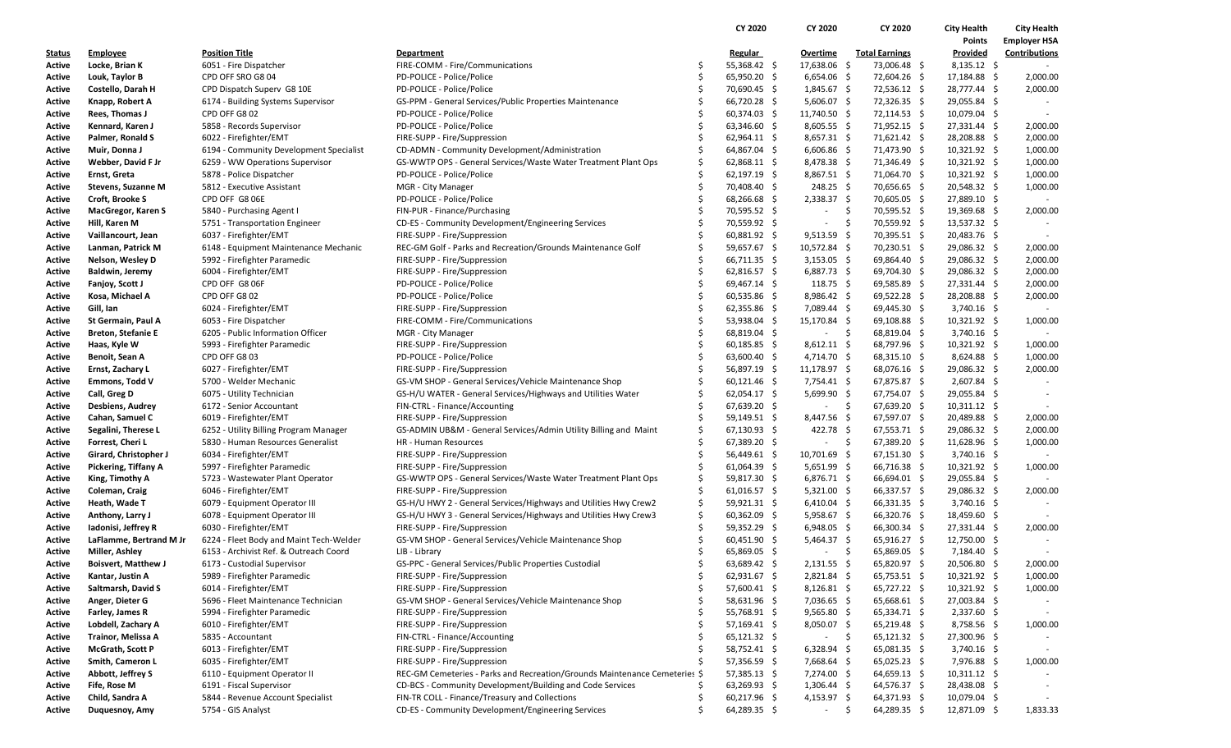|                  |                                              |                                                                                   |                                                                            |         | CY 2020                        | CY 2020                      |      | CY 2020                          | <b>City Health</b>             | <b>City Health</b>  |
|------------------|----------------------------------------------|-----------------------------------------------------------------------------------|----------------------------------------------------------------------------|---------|--------------------------------|------------------------------|------|----------------------------------|--------------------------------|---------------------|
|                  |                                              |                                                                                   |                                                                            |         |                                |                              |      |                                  | <b>Points</b>                  | <b>Employer HSA</b> |
| <u>Status</u>    | <b>Employee</b>                              | <b>Position Title</b>                                                             | Department                                                                 |         | <b>Regular</b>                 | Overtime                     |      | <b>Total Earnings</b>            | Provided                       | Contributions       |
| Active           | Locke, Brian K                               | 6051 - Fire Dispatcher                                                            | FIRE-COMM - Fire/Communications                                            | \$      | 55,368.42 \$                   | 17,638.06 \$                 |      | 73,006.48 \$                     | $8,135.12$ \$                  |                     |
| Active           | Louk, Taylor B                               | CPD OFF SRO G8 04                                                                 | PD-POLICE - Police/Police                                                  | Ś       | 65,950.20 \$                   | $6,654.06$ \$                |      | 72,604.26 \$                     | 17,184.88 \$                   | 2,000.00            |
| Active           | Costello, Darah H                            | CPD Dispatch Superv G8 10E                                                        | PD-POLICE - Police/Police                                                  | Ŝ       | 70,690.45 \$                   | 1,845.67 \$                  |      | 72,536.12 \$                     | 28,777.44 \$                   | 2,000.00            |
| Active           | Knapp, Robert A                              | 6174 - Building Systems Supervisor                                                | GS-PPM - General Services/Public Properties Maintenance                    |         | 66,720.28 \$                   | $5,606.07$ \$                |      | 72,326.35 \$                     | 29,055.84 \$                   |                     |
| Active           | Rees, Thomas J                               | CPD OFF G8 02                                                                     | PD-POLICE - Police/Police                                                  | Ŝ       | 60,374.03 \$                   | 11,740.50 \$                 |      | 72,114.53 \$                     | 10,079.04 \$                   |                     |
| Active           | Kennard, Karen J                             | 5858 - Records Supervisor                                                         | PD-POLICE - Police/Police                                                  | Ś       | 63,346.60 \$                   | $8,605.55$ \$                |      | 71,952.15 \$                     | 27,331.44 \$                   | 2,000.00            |
| Active           | Palmer, Ronald S                             | 6022 - Firefighter/EMT                                                            | FIRE-SUPP - Fire/Suppression                                               |         | 62,964.11 \$                   | $8,657.31$ \$                |      | 71,621.42 \$                     | 28,208.88 \$                   | 2,000.00            |
| Active           | Muir, Donna J                                | 6194 - Community Development Specialist                                           | CD-ADMN - Community Development/Administration                             | Ś       | 64,867.04 \$                   | $6,606.86$ \$                |      | 71,473.90 \$                     | $10,321.92 \div$               | 1,000.00            |
| Active           | Webber, David F Jr                           | 6259 - WW Operations Supervisor                                                   | GS-WWTP OPS - General Services/Waste Water Treatment Plant Ops             | \$      | $62,868.11$ \$                 | $8,478.38$ \$                |      | 71,346.49 \$                     | 10,321.92 \$                   | 1,000.00            |
| Active           | Ernst, Greta                                 | 5878 - Police Dispatcher                                                          | PD-POLICE - Police/Police                                                  | \$      | 62,197.19 \$                   | 8,867.51 \$                  |      | 71,064.70 \$                     | 10,321.92 \$                   | 1,000.00            |
| Active           | Stevens, Suzanne M                           | 5812 - Executive Assistant                                                        | MGR - City Manager                                                         | Ś       | 70,408.40 \$                   | $248.25$ \$                  |      | 70,656.65 \$                     | 20,548.32 \$                   | 1,000.00            |
| Active           | Croft, Brooke S                              | CPD OFF G8 06E                                                                    | PD-POLICE - Police/Police                                                  | \$      | 68,266.68 \$                   | $2,338.37$ \$                |      | 70,605.05 \$                     | 27,889.10 \$                   |                     |
| Active           | MacGregor, Karen S                           | 5840 - Purchasing Agent I                                                         | FIN-PUR - Finance/Purchasing                                               |         | 70,595.52 \$                   | $\overline{\phantom{a}}$     | \$   | 70,595.52 \$                     | 19,369.68 \$                   | 2,000.00            |
| Active           | Hill, Karen M                                | 5751 - Transportation Engineer                                                    | CD-ES - Community Development/Engineering Services                         | Ś       | 70,559.92 \$                   | $\overline{\phantom{a}}$     | Ŝ.   | 70,559.92 \$                     | 13,537.32 \$                   |                     |
| Active           | Vaillancourt, Jean                           | 6037 - Firefighter/EMT                                                            | FIRE-SUPP - Fire/Suppression                                               | \$      | $60,881.92$ \$                 | $9,513.59$ \$                |      | 70,395.51 \$                     | 20,483.76 \$                   |                     |
| Active           | Lanman, Patrick M                            | 6148 - Equipment Maintenance Mechanic                                             | REC-GM Golf - Parks and Recreation/Grounds Maintenance Golf                | Ś       | 59,657.67 \$                   | $10,572.84$ \$               |      | 70,230.51 \$                     | 29,086.32 \$                   | 2,000.00            |
| Active           | Nelson, Wesley D                             | 5992 - Firefighter Paramedic                                                      | FIRE-SUPP - Fire/Suppression                                               | Ŝ       | 66,711.35 \$                   | $3,153.05$ \$                |      | 69,864.40 \$                     | 29,086.32 \$                   | 2,000.00            |
| Active           | Baldwin, Jeremy                              | 6004 - Firefighter/EMT                                                            | FIRE-SUPP - Fire/Suppression                                               | \$      | $62,816.57$ \$                 | 6,887.73 \$                  |      | 69,704.30 \$                     | 29,086.32 \$                   | 2,000.00            |
| Active           | Fanjoy, Scott J                              | CPD OFF G8 06F                                                                    | PD-POLICE - Police/Police                                                  | Ś       | 69,467.14 \$                   | 118.75 \$                    |      | $69,585.89$ \$                   | 27,331.44 \$                   | 2,000.00            |
| Active           | Kosa, Michael A                              | CPD OFF G8 02                                                                     | PD-POLICE - Police/Police                                                  | Ŝ       | $60,535.86$ \$                 | 8,986.42 \$                  |      | 69,522.28 \$                     | 28,208.88 \$                   | 2,000.00            |
| Active           | Gill, Ian                                    | 6024 - Firefighter/EMT                                                            | FIRE-SUPP - Fire/Suppression                                               | \$      | $62,355.86$ \$                 | 7,089.44 \$                  |      | 69,445.30 \$                     | $3,740.16$ \$                  |                     |
| Active           | St Germain, Paul A                           | 6053 - Fire Dispatcher                                                            | FIRE-COMM - Fire/Communications                                            | Ś       | 53,938.04 \$                   | 15,170.84 \$                 |      | 69,108.88 \$                     | $10,321.92 \div$               | 1,000.00            |
| Active           | <b>Breton, Stefanie E</b>                    | 6205 - Public Information Officer                                                 | MGR - City Manager                                                         | Ŝ       | 68,819.04 \$                   | $\overline{\phantom{a}}$     | - \$ | 68,819.04 \$                     | $3,740.16$ \$                  |                     |
| Active           | Haas, Kyle W                                 | 5993 - Firefighter Paramedic                                                      | FIRE-SUPP - Fire/Suppression                                               | \$      | $60,185.85$ \$                 | $8,612.11 \quad $$           |      | 68,797.96 \$                     | $10,321.92 \div$               | 1,000.00            |
| Active           | Benoit, Sean A                               | CPD OFF G8 03                                                                     | PD-POLICE - Police/Police                                                  | Ś       | 63,600.40 \$                   | 4,714.70 \$                  |      | 68,315.10 \$                     | $8,624.88$ \$                  | 1,000.00            |
| Active           | Ernst, Zachary L                             | 6027 - Firefighter/EMT                                                            | FIRE-SUPP - Fire/Suppression                                               | Ŝ       | 56,897.19 \$                   | $11,178.97$ \$               |      | 68,076.16 \$                     | 29,086.32 \$                   | 2,000.00            |
| Active           | Emmons, Todd V                               | 5700 - Welder Mechanic                                                            | GS-VM SHOP - General Services/Vehicle Maintenance Shop                     | \$      | $60,121.46$ \$                 | 7,754.41 \$                  |      | 67,875.87 \$                     | $2,607.84$ \$                  |                     |
| Active           | Call, Greg D                                 | 6075 - Utility Technician                                                         | GS-H/U WATER - General Services/Highways and Utilities Water               | Ś       | $62,054.17$ \$                 | $5,699.90$ \$                |      | 67,754.07 \$                     | 29,055.84 \$                   |                     |
| Active           | <b>Desbiens, Audrey</b>                      | 6172 - Senior Accountant                                                          | FIN-CTRL - Finance/Accounting                                              | Ś       | 67,639.20 \$                   | $\overline{\phantom{a}}$     | - \$ | $67,639.20$ \$                   | $10,311.12 \div$               |                     |
| Active           | Cahan, Samuel C                              | 6019 - Firefighter/EMT                                                            | FIRE-SUPP - Fire/Suppression                                               | \$      | 59,149.51 \$                   | 8,447.56 \$                  |      | 67,597.07 \$                     | 20,489.88 \$                   | 2,000.00            |
| Active           | Segalini, Therese L                          | 6252 - Utility Billing Program Manager                                            | GS-ADMIN UB&M - General Services/Admin Utility Billing and Maint           | Ś       | 67,130.93 \$                   | 422.78 \$                    |      | $67,553.71$ \$                   | 29,086.32 \$                   | 2,000.00            |
| Active           | Forrest, Cheri L                             | 5830 - Human Resources Generalist                                                 | HR - Human Resources                                                       | Ś       | 67,389.20 \$                   | $\overline{\phantom{a}}$     | - \$ | 67,389.20 \$                     | $11,628.96$ \$                 | 1,000.00            |
| Active           | Girard, Christopher J                        | 6034 - Firefighter/EMT                                                            | FIRE-SUPP - Fire/Suppression                                               | \$      | 56,449.61 \$                   | 10,701.69 \$                 |      | $67,151.30$ \$                   | $3,740.16$ \$                  |                     |
| Active           | Pickering, Tiffany A                         | 5997 - Firefighter Paramedic                                                      | FIRE-SUPP - Fire/Suppression                                               | \$      | $61,064.39$ \$                 | $5,651.99$ \$                |      | 66,716.38 \$                     | $10,321.92 \div$               | 1,000.00            |
| Active           | King, Timothy A                              | 5723 - Wastewater Plant Operator                                                  | GS-WWTP OPS - General Services/Waste Water Treatment Plant Ops             | \$      | 59,817.30 \$                   | $6,876.71$ \$                |      | 66,694.01 \$                     | 29,055.84 \$                   |                     |
| Active           | Coleman, Craig                               | 6046 - Firefighter/EMT                                                            | FIRE-SUPP - Fire/Suppression                                               | \$      | $61,016.57$ \$                 | $5,321.00$ \$                |      | 66,337.57 \$                     | 29,086.32 \$                   | 2,000.00            |
| Active           | Heath, Wade T                                | 6079 - Equipment Operator III                                                     | GS-H/U HWY 2 - General Services/Highways and Utilities Hwy Crew2           | \$      | 59,921.31 \$                   | $6,410.04$ \$                |      | $66,331.35$ \$                   | $3,740.16$ \$                  |                     |
| Active           | Anthony, Larry J                             | 6078 - Equipment Operator III                                                     | GS-H/U HWY 3 - General Services/Highways and Utilities Hwy Crew3           | \$      | $60,362.09$ \$                 | 5,958.67 \$                  |      | 66,320.76 \$                     | 18,459.60 \$                   |                     |
| Active           | Iadonisi, Jeffrey R                          | 6030 - Firefighter/EMT                                                            | FIRE-SUPP - Fire/Suppression                                               | \$<br>Ś | 59,352.29 \$                   | $6,948.05$ \$                |      | 66,300.34 \$<br>65,916.27 \$     | 27,331.44 \$                   | 2,000.00            |
| Active           | LaFlamme, Bertrand M Jr                      | 6224 - Fleet Body and Maint Tech-Welder<br>6153 - Archivist Ref. & Outreach Coord | GS-VM SHOP - General Services/Vehicle Maintenance Shop                     | Ŝ       | $60,451.90$ \$                 | $5,464.37$ \$                |      |                                  | 12,750.00 \$                   |                     |
| Active           | Miller, Ashley<br><b>Boisvert, Matthew J</b> |                                                                                   | LIB - Library                                                              | Ś       | 65,869.05 \$                   |                              | \$   | 65,869.05 \$                     | 7,184.40 \$                    |                     |
| Active           |                                              | 6173 - Custodial Supervisor                                                       | GS-PPC - General Services/Public Properties Custodial                      | \$      | 63,689.42 \$                   | $2,131.55$ \$                |      | 65,820.97 \$                     | 20,506.80 \$                   | 2,000.00            |
| Active           | Kantar, Justin A                             | 5989 - Firefighter Paramedic                                                      | FIRE-SUPP - Fire/Suppression<br>FIRE-SUPP - Fire/Suppression               | Ś       | $62,931.67$ \$                 | $2,821.84$ \$                |      | 65,753.51 \$                     | $10,321.92$ \$                 | 1,000.00            |
| Active           | Saltmarsh, David S<br>Anger, Dieter G        | 6014 - Firefighter/EMT<br>5696 - Fleet Maintenance Technician                     | GS-VM SHOP - General Services/Vehicle Maintenance Shop                     |         | 57,600.41 \$<br>58,631.96 \$   | $8,126.81$ \$<br>7,036.65 \$ |      | 65,727.22 \$<br>$65,668.61$ \$   | $10,321.92$ \$<br>27,003.84 \$ | 1,000.00            |
| Active           |                                              | 5994 - Firefighter Paramedic                                                      | FIRE-SUPP - Fire/Suppression                                               |         |                                |                              |      |                                  |                                |                     |
| Active           | Farley, James R                              | 6010 - Firefighter/EMT                                                            |                                                                            |         | 55,768.91 \$                   | $9,565.80$ \$                |      | 65,334.71 \$                     | $2,337.60$ \$                  |                     |
| Active           | Lobdell, Zachary A<br>Trainor, Melissa A     | 5835 - Accountant                                                                 | FIRE-SUPP - Fire/Suppression<br>FIN-CTRL - Finance/Accounting              |         | 57,169.41 \$<br>$65,121.32$ \$ | $8,050.07$ \$<br>$\sim$      | - \$ | $65,219.48$ \$<br>$65,121.32$ \$ | 8,758.56 \$<br>27,300.96 \$    | 1,000.00            |
| Active           | McGrath, Scott P                             | 6013 - Firefighter/EMT                                                            | FIRE-SUPP - Fire/Suppression                                               | S       |                                |                              |      |                                  |                                |                     |
| Active           |                                              | 6035 - Firefighter/EMT                                                            | FIRE-SUPP - Fire/Suppression                                               | Ŝ.      | 58,752.41 \$<br>57,356.59 \$   | $6,328.94$ \$<br>7,668.64 \$ |      | $65,081.35$ \$<br>65,025.23 \$   | $3,740.16$ \$<br>7,976.88 \$   | 1,000.00            |
| Active           | Smith, Cameron L<br>Abbott, Jeffrey S        | 6110 - Equipment Operator II                                                      | REC-GM Cemeteries - Parks and Recreation/Grounds Maintenance Cemeteries \$ |         | 57,385.13 \$                   | 7,274.00 \$                  |      | $64,659.13$ \$                   | $10,311.12 \div$               |                     |
| Active<br>Active | Fife, Rose M                                 | 6191 - Fiscal Supervisor                                                          | CD-BCS - Community Development/Building and Code Services                  | S       | $63,269.93$ \$                 | $1,306.44$ \$                |      | 64,576.37 \$                     | 28,438.08 \$                   |                     |
| Active           | Child, Sandra A                              | 5844 - Revenue Account Specialist                                                 | FIN-TR COLL - Finance/Treasury and Collections                             | \$      | 60,217.96 \$                   | 4,153.97 \$                  |      | 64,371.93 \$                     | $10,079.04$ \$                 |                     |
| Active           | Duquesnoy, Amy                               | 5754 - GIS Analyst                                                                | CD-ES - Community Development/Engineering Services                         | Ś       | 64,289.35 \$                   | $\sim$                       | \$   | $64,289.35$ \$                   | 12,871.09 \$                   | 1,833.33            |
|                  |                                              |                                                                                   |                                                                            |         |                                |                              |      |                                  |                                |                     |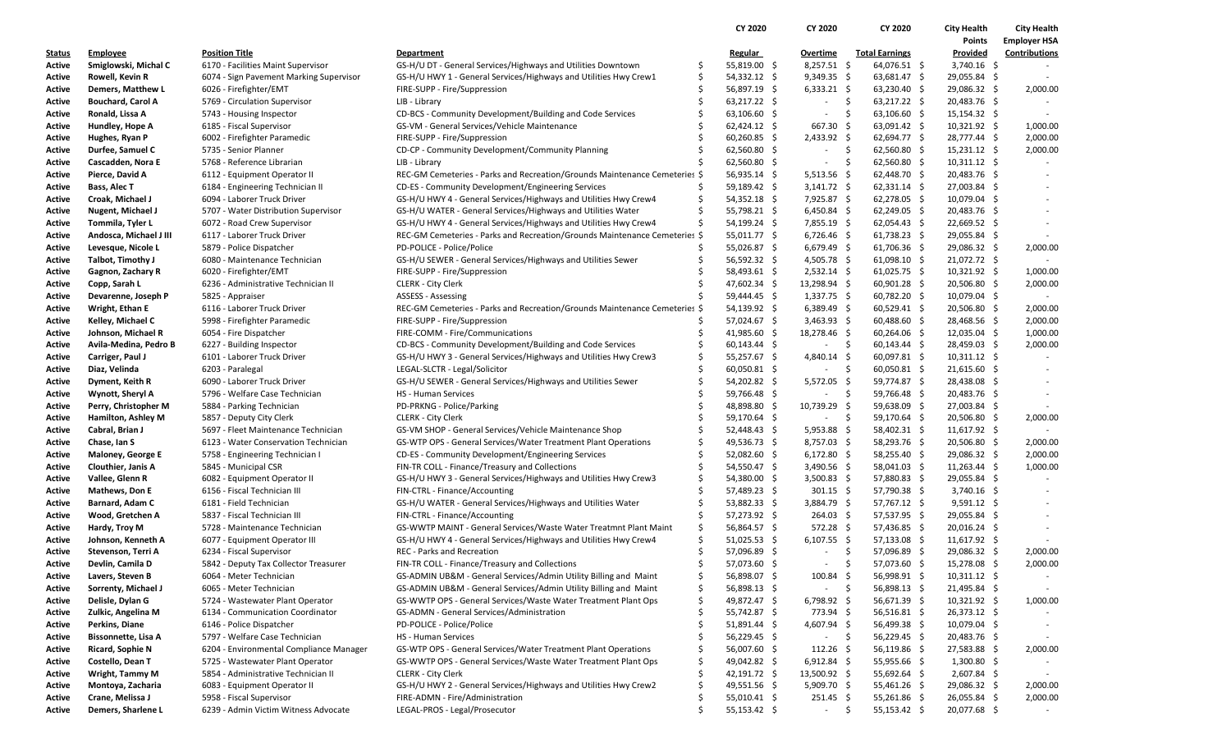|                  |                                         |                                                                   |                                                                            |         | CY 2020        | <b>CY 2020</b>           | CY 2020                             | <b>City Health</b> | <b>City Health</b>       |
|------------------|-----------------------------------------|-------------------------------------------------------------------|----------------------------------------------------------------------------|---------|----------------|--------------------------|-------------------------------------|--------------------|--------------------------|
|                  |                                         |                                                                   |                                                                            |         |                |                          |                                     | Points             | <b>Employer HSA</b>      |
| <u>Status</u>    | <b>Employee</b>                         | <b>Position Title</b>                                             | Department                                                                 |         | Regular        | Overtime                 | <b>Total Earnings</b>               | Provided           | <b>Contributions</b>     |
| Active           | Smiglowski, Michal C                    | 6170 - Facilities Maint Supervisor                                | GS-H/U DT - General Services/Highways and Utilities Downtown               | \$.     | 55,819.00 \$   | $8,257.51$ \$            | 64,076.51 \$                        | $3,740.16$ \$      |                          |
| Active           | Rowell, Kevin R                         | 6074 - Sign Pavement Marking Supervisor                           | GS-H/U HWY 1 - General Services/Highways and Utilities Hwy Crew1           | Ŝ       | 54,332.12 \$   | $9,349.35$ \$            | $63,681.47$ \$                      | 29,055.84 \$       |                          |
| Active           | Demers, Matthew L                       | 6026 - Firefighter/EMT                                            | FIRE-SUPP - Fire/Suppression                                               | \$      | 56,897.19 \$   | $6,333.21$ \$            | $63,230.40$ \$                      | 29,086.32 \$       | 2,000.00                 |
| Active           | <b>Bouchard, Carol A</b>                | 5769 - Circulation Supervisor                                     | LIB - Library                                                              |         | 63,217.22 \$   | $\overline{\phantom{a}}$ | \$<br>63,217.22 \$                  | 20,483.76 \$       |                          |
| Active           | Ronald, Lissa A                         | 5743 - Housing Inspector                                          | CD-BCS - Community Development/Building and Code Services                  |         | $63,106.60$ \$ | $\overline{\phantom{a}}$ | -\$<br>$63,106.60$ \$               | $15,154.32 \div$   |                          |
| Active           | Hundley, Hope A                         | 6185 - Fiscal Supervisor                                          | GS-VM - General Services/Vehicle Maintenance                               | Ŝ       | $62,424.12$ \$ | 667.30                   | -\$<br>$63,091.42 \quad $$          | $10,321.92$ \$     | 1,000.00                 |
| Active           | Hughes, Ryan P                          | 6002 - Firefighter Paramedic                                      | FIRE-SUPP - Fire/Suppression                                               |         | $60,260.85$ \$ | $2,433.92$ \$            | $62,694.77$ \$                      | 28,777.44 \$       | 2,000.00                 |
| Active           | Durfee, Samuel C                        | 5735 - Senior Planner                                             | CD-CP - Community Development/Community Planning                           |         | $62,560.80$ \$ | $\overline{\phantom{a}}$ | -\$<br>$62,560.80$ \$               | 15,231.12 \$       | 2,000.00                 |
| Active           | Cascadden, Nora E                       | 5768 - Reference Librarian                                        | LIB - Library                                                              | Ŝ       | $62,560.80$ \$ | $\overline{\phantom{a}}$ | \$<br>$62,560.80$ \$                | $10,311.12 \div$   |                          |
| Active           | Pierce, David A                         | 6112 - Equipment Operator II                                      | REC-GM Cemeteries - Parks and Recreation/Grounds Maintenance Cemeteries \$ |         | 56,935.14 \$   | $5,513.56$ \$            | 62,448.70 \$                        | 20,483.76 \$       |                          |
| Active           | Bass, Alec T                            | 6184 - Engineering Technician II                                  | CD-ES - Community Development/Engineering Services                         | S       | 59,189.42 \$   | $3,141.72$ \$            | $62,331.14$ \$                      | 27,003.84 \$       |                          |
| Active           | Croak, Michael J                        | 6094 - Laborer Truck Driver                                       | GS-H/U HWY 4 - General Services/Highways and Utilities Hwy Crew4           | \$      | $54,352.18$ \$ | 7,925.87 \$              | 62,278.05 \$                        | 10,079.04 \$       |                          |
| Active           | <b>Nugent, Michael J</b>                | 5707 - Water Distribution Supervisor                              | GS-H/U WATER - General Services/Highways and Utilities Water               | Ś       | 55,798.21 \$   | $6,450.84$ \$            | $62,249.05$ \$                      | 20,483.76 \$       |                          |
| Active           | Tommila, Tyler L                        | 6072 - Road Crew Supervisor                                       | GS-H/U HWY 4 - General Services/Highways and Utilities Hwy Crew4           | Ŝ       | 54,199.24 \$   | $7,855.19$ \$            | $62,054.43$ \$                      | 22,669.52 \$       |                          |
| Active           | Andosca, Michael J III                  | 6117 - Laborer Truck Driver                                       | REC-GM Cemeteries - Parks and Recreation/Grounds Maintenance Cemeteries \$ |         | 55,011.77 \$   | $6,726.46$ \$            | $61,738.23$ \$                      | 29,055.84 \$       |                          |
| Active           | Levesque, Nicole L                      | 5879 - Police Dispatcher                                          | PD-POLICE - Police/Police                                                  |         | 55,026.87 \$   | $6,679.49$ \$            | $61,706.36$ \$                      | 29,086.32 \$       | 2,000.00                 |
| Active           | Talbot, Timothy J                       | 6080 - Maintenance Technician                                     | GS-H/U SEWER - General Services/Highways and Utilities Sewer               | Ŝ       | 56,592.32 \$   | 4,505.78 \$              | 61,098.10 \$                        | 21,072.72 \$       |                          |
| Active           | Gagnon, Zachary R                       | 6020 - Firefighter/EMT                                            | FIRE-SUPP - Fire/Suppression                                               |         | 58,493.61 \$   | $2,532.14$ \$            | 61,025.75 \$                        | $10,321.92 \div$   | 1,000.00                 |
| Active           | Copp, Sarah L                           | 6236 - Administrative Technician II                               | <b>CLERK - City Clerk</b>                                                  |         | 47,602.34 \$   | 13,298.94 \$             | $60,901.28$ \$                      | 20,506.80 \$       | 2,000.00                 |
| Active           | Devarenne, Joseph P                     | 5825 - Appraiser                                                  | ASSESS - Assessing                                                         |         | 59,444.45 \$   | $1,337.75$ \$            | $60,782.20$ \$                      | 10,079.04 \$       |                          |
| Active           | Wright, Ethan E                         | 6116 - Laborer Truck Driver                                       | REC-GM Cemeteries - Parks and Recreation/Grounds Maintenance Cemeteries \$ |         | 54,139.92 \$   | $6,389.49$ \$            | $60,529.41$ \$                      | 20,506.80 \$       | 2,000.00                 |
| Active           | Kelley, Michael C                       | 5998 - Firefighter Paramedic                                      | FIRE-SUPP - Fire/Suppression                                               |         | 57,024.67 \$   | $3,463.93$ \$            | $60,488.60$ \$                      | 28,468.56 \$       | 2,000.00                 |
| Active           | Johnson, Michael R                      | 6054 - Fire Dispatcher                                            | FIRE-COMM - Fire/Communications                                            |         | 41,985.60 \$   | 18,278.46 \$             | $60,264.06$ \$                      | 12,035.04 \$       | 1,000.00                 |
| Active           | Avila-Medina, Pedro B                   | 6227 - Building Inspector                                         | CD-BCS - Community Development/Building and Code Services                  | \$.     | $60,143.44$ \$ | $\sim$                   | \$<br>$60,143.44$ \$                | 28,459.03 \$       | 2,000.00                 |
| Active           | Carriger, Paul J                        | 6101 - Laborer Truck Driver                                       | GS-H/U HWY 3 - General Services/Highways and Utilities Hwy Crew3           | Ŝ       | 55,257.67 \$   | 4,840.14 \$              | $60,097.81$ \$                      | $10,311.12 \div$   |                          |
| Active           | Diaz, Velinda                           | 6203 - Paralegal                                                  | LEGAL-SLCTR - Legal/Solicitor                                              |         | $60,050.81$ \$ | $\overline{\phantom{a}}$ | -\$<br>$60,050.81$ \$               | $21,615.60$ \$     |                          |
| Active           | Dyment, Keith R                         | 6090 - Laborer Truck Driver                                       | GS-H/U SEWER - General Services/Highways and Utilities Sewer               | S       | 54,202.82 \$   | 5,572.05                 | -\$<br>59,774.87 \$                 | 28,438.08 \$       |                          |
| Active           | Wynott, Sheryl A                        | 5796 - Welfare Case Technician                                    | HS - Human Services                                                        |         | 59,766.48 \$   | $\sim$                   | \$<br>59,766.48 \$                  | 20,483.76 \$       |                          |
| Active           | Perry, Christopher M                    | 5884 - Parking Technician                                         | PD-PRKNG - Police/Parking                                                  |         | 48,898.80 \$   | 10,739.29 \$             | 59,638.09 \$                        | 27,003.84 \$       |                          |
| Active           | Hamilton, Ashley M                      | 5857 - Deputy City Clerk                                          | <b>CLERK - City Clerk</b>                                                  |         | 59,170.64 \$   | $\sim$                   | -\$<br>59,170.64 \$                 | 20,506.80 \$       | 2,000.00                 |
| Active           | Cabral, Brian J                         | 5697 - Fleet Maintenance Technician                               | GS-VM SHOP - General Services/Vehicle Maintenance Shop                     |         | $52,448.43$ \$ | $5,953.88$ \$            | 58,402.31 \$                        | $11,617.92 \div$   |                          |
| Active           | Chase, Ian S                            | 6123 - Water Conservation Technician                              | GS-WTP OPS - General Services/Water Treatment Plant Operations             | S       | 49,536.73 \$   | $8,757.03$ \$            | 58,293.76 \$                        | 20,506.80 \$       | 2,000.00                 |
| Active           | Maloney, George E                       | 5758 - Engineering Technician I                                   | CD-ES - Community Development/Engineering Services                         | \$      | $52,082.60$ \$ | $6,172.80$ \$            | 58,255.40 \$                        | 29,086.32 \$       | 2,000.00                 |
| Active           | Clouthier, Janis A                      | 5845 - Municipal CSR                                              | FIN-TR COLL - Finance/Treasury and Collections                             |         | 54,550.47 \$   | 3,490.56 \$              | $58,041.03$ \$                      | $11,263.44$ \$     | 1,000.00                 |
| Active           | Vallee, Glenn R                         | 6082 - Equipment Operator II                                      | GS-H/U HWY 3 - General Services/Highways and Utilities Hwy Crew3           | Ŝ       | 54,380.00 \$   | 3,500.83 \$              | 57,880.83 \$                        | 29,055.84 \$       |                          |
| Active           | <b>Mathews, Don E</b>                   | 6156 - Fiscal Technician III                                      | FIN-CTRL - Finance/Accounting                                              | \$      | 57,489.23 \$   | $301.15 \quad$ \$        | 57,790.38 \$                        | $3,740.16$ \$      |                          |
| Active           | Barnard, Adam C                         | 6181 - Field Technician                                           | GS-H/U WATER - General Services/Highways and Utilities Water               |         | 53,882.33 \$   | $3,884.79$ \$            | 57,767.12 \$                        | $9,591.12$ \$      | $\overline{\phantom{a}}$ |
|                  | Wood, Gretchen A                        | 5837 - Fiscal Technician III                                      | FIN-CTRL - Finance/Accounting                                              | Ŝ       | 57,273.92 \$   | 264.03 \$                | 57,537.95 \$                        | 29,055.84 \$       |                          |
| Active<br>Active | Hardy, Troy M                           | 5728 - Maintenance Technician                                     | GS-WWTP MAINT - General Services/Waste Water Treatmnt Plant Maint          | \$      | 56,864.57 \$   | 572.28 \$                | 57,436.85 \$                        | $20,016.24$ \$     |                          |
| Active           | Johnson, Kenneth A                      | 6077 - Equipment Operator III                                     | GS-H/U HWY 4 - General Services/Highways and Utilities Hwy Crew4           | Ś       | $51,025.53$ \$ | $6,107.55$ \$            | $57,133.08$ \$                      | $11,617.92 \div$   |                          |
|                  | Stevenson, Terri A                      |                                                                   | REC - Parks and Recreation                                                 | Ŝ       | 57,096.89 \$   |                          | \$                                  | 29,086.32 \$       | 2,000.00                 |
| Active<br>Active |                                         | 6234 - Fiscal Supervisor<br>5842 - Deputy Tax Collector Treasurer | FIN-TR COLL - Finance/Treasury and Collections                             | Ŝ       | 57,073.60 \$   | $\sim$                   | 57,096.89 \$<br>-\$<br>57,073.60 \$ | 15,278.08 \$       | 2,000.00                 |
|                  | Devlin, Camila D                        |                                                                   | GS-ADMIN UB&M - General Services/Admin Utility Billing and Maint           | S       | 56,898.07 \$   | $100.84 \; \simeq$       |                                     | $10,311.12 \div$   |                          |
| Active           | Lavers, Steven B<br>Sorrenty, Michael J | 6064 - Meter Technician                                           | GS-ADMIN UB&M - General Services/Admin Utility Billing and Maint           | \$      |                |                          | 56,998.91 \$<br>-\$                 |                    |                          |
| Active           |                                         | 6065 - Meter Technician                                           |                                                                            | \$      | 56,898.13 \$   | $\sim$                   | 56,898.13 \$                        | 21,495.84 \$       |                          |
| Active           | Delisle, Dylan G                        | 5724 - Wastewater Plant Operator                                  | GS-WWTP OPS - General Services/Waste Water Treatment Plant Ops             |         | 49,872.47 \$   | $6,798.92$ \$            | 56,671.39 \$                        | $10,321.92$ \$     | 1,000.00                 |
| Active           | Zulkic, Angelina M<br>Perkins, Diane    | 6134 - Communication Coordinator<br>6146 - Police Dispatcher      | GS-ADMN - General Services/Administration<br>PD-POLICE - Police/Police     | S<br>\$ | 55,742.87 \$   | 773.94 \$                | $56,516.81$ \$                      | 26,373.12 \$       |                          |
| Active           |                                         |                                                                   |                                                                            |         | 51,891.44 \$   | $4,607.94$ \$            | 56,499.38 \$                        | $10,079.04$ \$     |                          |
| Active           | Bissonnette, Lisa A                     | 5797 - Welfare Case Technician                                    | <b>HS</b> - Human Services                                                 |         | 56,229.45 \$   | $\overline{\phantom{a}}$ | -\$<br>56,229.45 \$                 | 20,483.76 \$       |                          |
| Active           | <b>Ricard, Sophie N</b>                 | 6204 - Environmental Compliance Manager                           | GS-WTP OPS - General Services/Water Treatment Plant Operations             | S       | 56,007.60 \$   | $112.26$ \$              | 56,119.86 \$                        | 27,583.88 \$       | 2,000.00                 |
| Active           | Costello, Dean T                        | 5725 - Wastewater Plant Operator                                  | GS-WWTP OPS - General Services/Waste Water Treatment Plant Ops             | \$      | 49,042.82 \$   | $6,912.84$ \$            | $55,955.66$ \$                      | $1,300.80$ \$      |                          |
| Active           | Wright, Tammy M                         | 5854 - Administrative Technician II                               | <b>CLERK - City Clerk</b>                                                  | \$      | 42,191.72 \$   | $13,500.92$ \$           | $55,692.64$ \$                      | $2,607.84$ \$      |                          |
| Active           | Montoya, Zacharia                       | 6083 - Equipment Operator II                                      | GS-H/U HWY 2 - General Services/Highways and Utilities Hwy Crew2           | \$      | 49,551.56 \$   | $5,909.70$ \$            | 55,461.26 \$                        | 29,086.32 \$       | 2,000.00                 |
| Active           | Crane, Melissa J                        | 5958 - Fiscal Supervisor                                          | FIRE-ADMN - Fire/Administration                                            | \$      | $55,010.41$ \$ | $251.45$ \$              | 55,261.86 \$                        | 26,055.84 \$       | 2,000.00                 |
| Active           | Demers, Sharlene L                      | 6239 - Admin Victim Witness Advocate                              | LEGAL-PROS - Legal/Prosecutor                                              | S       | 55,153.42 \$   | $\sim$                   | -\$<br>$55,153.42 \div$             | 20,077.68 \$       |                          |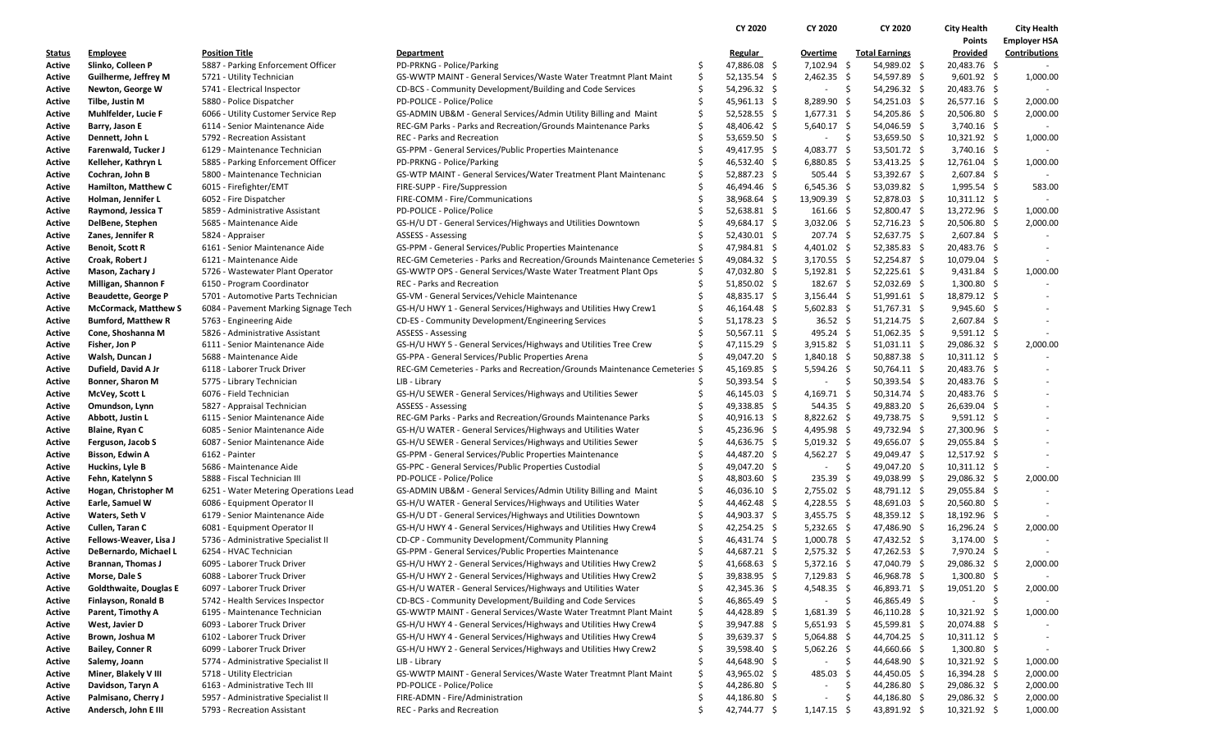|               |                               |                                       |                                                                            |    | CY 2020        | CY 2020                  | CY 2020                | <b>City Health</b> | <b>City Health</b>       |
|---------------|-------------------------------|---------------------------------------|----------------------------------------------------------------------------|----|----------------|--------------------------|------------------------|--------------------|--------------------------|
|               |                               |                                       |                                                                            |    |                |                          |                        | Points             | <b>Employer HSA</b>      |
| <u>Status</u> | <b>Employee</b>               | Position Title                        | <b>Department</b>                                                          |    | <b>Regular</b> | Overtime                 | <b>Total Earnings</b>  | Provided           | Contributions            |
| Active        | Slinko, Colleen P             | 5887 - Parking Enforcement Officer    | PD-PRKNG - Police/Parking                                                  | \$ | 47,886.08 \$   | 7,102.94                 | 54,989.02 \$<br>\$     | 20,483.76 \$       |                          |
| Active        | Guilherme, Jeffrey M          | 5721 - Utility Technician             | GS-WWTP MAINT - General Services/Waste Water Treatmnt Plant Maint          | \$ | 52,135.54 \$   | $2,462.35$ \$            | 54,597.89 \$           | $9,601.92 \quad $$ | 1,000.00                 |
| Active        | Newton, George W              | 5741 - Electrical Inspector           | CD-BCS - Community Development/Building and Code Services                  | \$ | 54,296.32 \$   | - \$                     | 54,296.32 \$           | 20,483.76 \$       |                          |
| Active        | Tilbe, Justin M               | 5880 - Police Dispatcher              | PD-POLICE - Police/Police                                                  | \$ | $45,961.13$ \$ | $8,289.90$ \$            | $54,251.03$ \$         | 26,577.16 \$       | 2,000.00                 |
| Active        | Muhlfelder, Lucie F           | 6066 - Utility Customer Service Rep   | GS-ADMIN UB&M - General Services/Admin Utility Billing and Maint           | \$ | $52,528.55$ \$ | $1,677.31 \&$            | 54,205.86 \$           | 20,506.80 \$       | 2,000.00                 |
| Active        | Barry, Jason E                | 6114 - Senior Maintenance Aide        | REC-GM Parks - Parks and Recreation/Grounds Maintenance Parks              | \$ | 48,406.42 \$   | $5,640.17$ \$            | 54,046.59 \$           | $3,740.16$ \$      |                          |
| Active        | Dennett, John L               | 5792 - Recreation Assistant           | <b>REC</b> - Parks and Recreation                                          |    | $53,659.50$ \$ | $\sim$                   | \$<br>53,659.50 \$     | $10,321.92 \div$   | 1,000.00                 |
| Active        | Farenwald, Tucker J           | 6129 - Maintenance Technician         | GS-PPM - General Services/Public Properties Maintenance                    | Ś  | 49,417.95 \$   | 4,083.77 \$              | 53,501.72 \$           | $3,740.16$ \$      |                          |
| Active        | Kelleher, Kathryn L           | 5885 - Parking Enforcement Officer    | PD-PRKNG - Police/Parking                                                  | \$ | 46,532.40 \$   | $6,880.85$ \$            | 53,413.25 \$           | 12,761.04 \$       | 1,000.00                 |
| Active        | Cochran, John B               | 5800 - Maintenance Technician         | GS-WTP MAINT - General Services/Water Treatment Plant Maintenanc           | \$ | 52,887.23 \$   | $505.44$ \$              | 53,392.67 \$           | $2,607.84$ \$      |                          |
| Active        | Hamilton, Matthew C           | 6015 - Firefighter/EMT                | FIRE-SUPP - Fire/Suppression                                               | Ś  | 46,494.46 \$   | $6,545.36$ \$            | 53,039.82 \$           | $1,995.54$ \$      | 583.00                   |
| <b>Active</b> | Holman, Jennifer L            | 6052 - Fire Dispatcher                | FIRE-COMM - Fire/Communications                                            | \$ | 38,968.64 \$   | 13,909.39 \$             | 52,878.03 \$           | $10,311.12 \div$   |                          |
| Active        | Raymond, Jessica T            | 5859 - Administrative Assistant       | PD-POLICE - Police/Police                                                  |    | 52,638.81 \$   | $161.66 \div$            | 52,800.47 \$           | 13,272.96 \$       | 1,000.00                 |
| Active        | DelBene, Stephen              | 5685 - Maintenance Aide               | GS-H/U DT - General Services/Highways and Utilities Downtown               |    | 49,684.17 \$   | $3,032.06$ \$            | $52,716.23$ \$         | 20,506.80 \$       | 2,000.00                 |
| Active        | Zanes, Jennifer R             | 5824 - Appraiser                      | ASSESS - Assessing                                                         | S  | $52,430.01$ \$ | $207.74 \text{ }$        | 52,637.75 \$           | $2,607.84$ \$      |                          |
| Active        | <b>Benoit, Scott R</b>        | 6161 - Senior Maintenance Aide        | GS-PPM - General Services/Public Properties Maintenance                    | Ś  | 47,984.81 \$   | 4,401.02 \$              | $52,385.83$ \$         | 20,483.76 \$       |                          |
| Active        | Croak, Robert J               | 6121 - Maintenance Aide               | REC-GM Cemeteries - Parks and Recreation/Grounds Maintenance Cemeteries \$ |    | 49,084.32 \$   | $3,170.55$ \$            | 52,254.87 \$           | 10,079.04 \$       |                          |
| Active        | Mason, Zachary J              | 5726 - Wastewater Plant Operator      | GS-WWTP OPS - General Services/Waste Water Treatment Plant Ops             | \$ | 47,032.80 \$   | $5,192.81$ \$            | 52,225.61 \$           | $9,431.84$ \$      | 1,000.00                 |
| Active        | Milligan, Shannon F           | 6150 - Program Coordinator            | <b>REC</b> - Parks and Recreation                                          | Ś  | 51,850.02 \$   | 182.67 \$                | 52,032.69 \$           | $1,300.80$ \$      |                          |
| Active        | <b>Beaudette, George P</b>    | 5701 - Automotive Parts Technician    | GS-VM - General Services/Vehicle Maintenance                               |    | 48,835.17 \$   | $3,156.44$ \$            | $51,991.61$ \$         | 18,879.12 \$       |                          |
| Active        | <b>McCormack, Matthew S</b>   | 6084 - Pavement Marking Signage Tech  | GS-H/U HWY 1 - General Services/Highways and Utilities Hwy Crew1           | \$ | 46,164.48 \$   | $5,602.83$ \$            | $51,767.31$ \$         | $9,945.60$ \$      |                          |
| Active        | <b>Bumford, Matthew R</b>     | 5763 - Engineering Aide               | CD-ES - Community Development/Engineering Services                         | Ś  | 51,178.23 \$   | 36.52 \$                 | 51,214.75 \$           | $2,607.84$ \$      |                          |
| Active        | Cone, Shoshanna M             | 5826 - Administrative Assistant       | <b>ASSESS - Assessing</b>                                                  |    | $50,567.11$ \$ | 495.24 \$                | $51,062.35$ \$         | $9,591.12$ \$      |                          |
| Active        | Fisher, Jon P                 | 6111 - Senior Maintenance Aide        | GS-H/U HWY 5 - General Services/Highways and Utilities Tree Crew           | \$ | 47,115.29 \$   | $3,915.82 \quad$ \$      | $51,031.11$ \$         | 29,086.32 \$       | 2,000.00                 |
| Active        | Walsh, Duncan J               | 5688 - Maintenance Aide               | GS-PPA - General Services/Public Properties Arena                          |    | 49,047.20 \$   | 1,840.18 \$              | 50,887.38 \$           | $10,311.12 \div$   |                          |
| Active        | Dufield, David A Jr           | 6118 - Laborer Truck Driver           | REC-GM Cemeteries - Parks and Recreation/Grounds Maintenance Cemeteries \$ |    | 45,169.85 \$   | $5,594.26$ \$            | 50,764.11 \$           | 20,483.76 \$       |                          |
| Active        | <b>Bonner, Sharon M</b>       | 5775 - Library Technician             | LIB - Library                                                              | Ś  | $50,393.54$ \$ | $\sim$                   | - \$<br>$50,393.54$ \$ | 20,483.76 \$       |                          |
| Active        | McVey, Scott L                | 6076 - Field Technician               | GS-H/U SEWER - General Services/Highways and Utilities Sewer               | Ś  | 46,145.03 \$   | $4,169.71$ \$            | $50,314.74$ \$         | 20,483.76 \$       |                          |
| Active        | Omundson, Lynn                | 5827 - Appraisal Technician           | <b>ASSESS - Assessing</b>                                                  | Ś  | 49,338.85 \$   | $544.35 \pm 5$           | 49,883.20 \$           | 26,639.04 \$       |                          |
| Active        | Abbott, Justin L              | 6115 - Senior Maintenance Aide        | REC-GM Parks - Parks and Recreation/Grounds Maintenance Parks              | \$ | $40,916.13$ \$ | $8,822.62$ \$            | 49,738.75 \$           | $9,591.12$ \$      |                          |
| Active        | Blaine, Ryan C                | 6085 - Senior Maintenance Aide        | GS-H/U WATER - General Services/Highways and Utilities Water               | Ś  | 45,236.96 \$   | 4,495.98 \$              | 49,732.94 \$           | 27,300.96 \$       |                          |
| Active        | Ferguson, Jacob S             | 6087 - Senior Maintenance Aide        | GS-H/U SEWER - General Services/Highways and Utilities Sewer               | Ś  | 44,636.75 \$   | $5,019.32 \quad $$       | 49,656.07 \$           | 29,055.84 \$       |                          |
| Active        | Bisson, Edwin A               | 6162 - Painter                        | GS-PPM - General Services/Public Properties Maintenance                    | \$ | 44,487.20 \$   | $4,562.27$ \$            | 49,049.47 \$           | 12,517.92 \$       |                          |
| Active        | Huckins, Lyle B               | 5686 - Maintenance Aide               | GS-PPC - General Services/Public Properties Custodial                      |    | 49,047.20 \$   | $\overline{\phantom{a}}$ | \$<br>49,047.20 \$     | $10,311.12 \div$   |                          |
| Active        | Fehn, Katelynn S              | 5888 - Fiscal Technician III          | PD-POLICE - Police/Police                                                  | \$ | 48,803.60 \$   | $235.39 \quad$ \$        | 49,038.99 \$           | 29,086.32 \$       | 2,000.00                 |
| Active        | Hogan, Christopher M          | 6251 - Water Metering Operations Lead | GS-ADMIN UB&M - General Services/Admin Utility Billing and Maint           | \$ | 46,036.10 \$   | $2,755.02$ \$            | 48,791.12 \$           | 29,055.84 \$       | $\sim$                   |
| <b>Active</b> | Earle, Samuel W               | 6086 - Equipment Operator II          | GS-H/U WATER - General Services/Highways and Utilities Water               | Ś  | 44,462.48 \$   | 4,228.55 \$              | 48,691.03 \$           | 20,560.80 \$       | $\overline{\phantom{a}}$ |
| Active        | Waters, Seth V                | 6179 - Senior Maintenance Aide        | GS-H/U DT - General Services/Highways and Utilities Downtown               | \$ | 44,903.37 \$   | $3,455.75$ \$            | 48,359.12 \$           | 18,192.96 \$       |                          |
| Active        | Cullen, Taran C               | 6081 - Equipment Operator II          | GS-H/U HWY 4 - General Services/Highways and Utilities Hwy Crew4           | \$ | 42,254.25 \$   | $5,232.65$ \$            | 47,486.90 \$           | 16,296.24 \$       | 2,000.00                 |
| Active        | Fellows-Weaver, Lisa J        | 5736 - Administrative Specialist II   | CD-CP - Community Development/Community Planning                           | Ś  | 46,431.74 \$   | $1,000.78$ \$            | 47,432.52 \$           | $3,174.00$ \$      |                          |
| Active        | DeBernardo, Michael L         | 6254 - HVAC Technician                | GS-PPM - General Services/Public Properties Maintenance                    | \$ | 44,687.21 \$   | $2,575.32$ \$            | 47,262.53 \$           | 7,970.24 \$        |                          |
| Active        | <b>Brannan, Thomas J</b>      | 6095 - Laborer Truck Driver           | GS-H/U HWY 2 - General Services/Highways and Utilities Hwy Crew2           | Ś. | 41,668.63 \$   | $5,372.16$ \$            | 47,040.79 \$           | 29,086.32 \$       | 2,000.00                 |
| Active        | Morse, Dale S                 | 6088 - Laborer Truck Driver           | GS-H/U HWY 2 - General Services/Highways and Utilities Hwy Crew2           | \$ | 39,838.95 \$   | $7,129.83$ \$            | 46,968.78 \$           | $1,300.80$ \$      |                          |
| Active        | <b>Goldthwaite, Douglas E</b> | 6097 - Laborer Truck Driver           | GS-H/U WATER - General Services/Highways and Utilities Water               | \$ | 42,345.36 \$   | $4,548.35$ \$            | 46,893.71 \$           | 19,051.20 \$       | 2,000.00                 |
| Active        | Finlayson, Ronald B           | 5742 - Health Services Inspector      | CD-BCS - Community Development/Building and Code Services                  | \$ | 46,865.49 \$   | $\sim$                   | - \$<br>46,865.49 \$   | $-5$               |                          |
| Active        | Parent, Timothy A             | 6195 - Maintenance Technician         | GS-WWTP MAINT - General Services/Waste Water Treatmnt Plant Maint          | \$ | 44,428.89 \$   | $1,681.39$ \$            | $46,110.28$ \$         | $10,321.92$ \$     | 1,000.00                 |
| Active        | West, Javier D                | 6093 - Laborer Truck Driver           | GS-H/U HWY 4 - General Services/Highways and Utilities Hwy Crew4           | \$ | 39,947.88 \$   | $5,651.93$ \$            | 45,599.81 \$           | 20,074.88 \$       |                          |
| Active        | Brown, Joshua M               | 6102 - Laborer Truck Driver           | GS-H/U HWY 4 - General Services/Highways and Utilities Hwy Crew4           | \$ | 39,639.37 \$   | $5,064.88$ \$            | 44,704.25 \$           | $10,311.12 \div$   |                          |
| Active        | <b>Bailey, Conner R</b>       | 6099 - Laborer Truck Driver           | GS-H/U HWY 2 - General Services/Highways and Utilities Hwy Crew2           | \$ | 39,598.40 \$   | $5,062.26$ \$            | 44,660.66 \$           | $1,300.80$ \$      |                          |
| Active        | Salemy, Joann                 | 5774 - Administrative Specialist II   | LIB - Library                                                              | \$ | 44,648.90 \$   | $\overline{\phantom{a}}$ | \$<br>44,648.90 \$     | $10,321.92 \div$   | 1,000.00                 |
| Active        | Miner, Blakely V III          | 5718 - Utility Electrician            | GS-WWTP MAINT - General Services/Waste Water Treatmnt Plant Maint          | \$ | 43,965.02 \$   | 485.03                   | 44,450.05 \$<br>-S     | 16,394.28 \$       | 2,000.00                 |
| Active        | Davidson, Taryn A             | 6163 - Administrative Tech III        | PD-POLICE - Police/Police                                                  | \$ | 44,286.80 \$   | $\overline{\phantom{a}}$ | 44,286.80 \$<br>-\$    | 29,086.32 \$       | 2,000.00                 |
| Active        | Palmisano, Cherry J           | 5957 - Administrative Specialist II   | FIRE-ADMN - Fire/Administration                                            | \$ | 44,186.80 \$   | $\overline{\phantom{a}}$ | \$.<br>$44,186.80$ \$  | 29,086.32 \$       | 2,000.00                 |
| Active        | Andersch, John E III          | 5793 - Recreation Assistant           | REC - Parks and Recreation                                                 |    | 42,744.77 \$   | $1,147.15$ \$            | 43,891.92 \$           | $10,321.92 \div$   | 1,000.00                 |
|               |                               |                                       |                                                                            |    |                |                          |                        |                    |                          |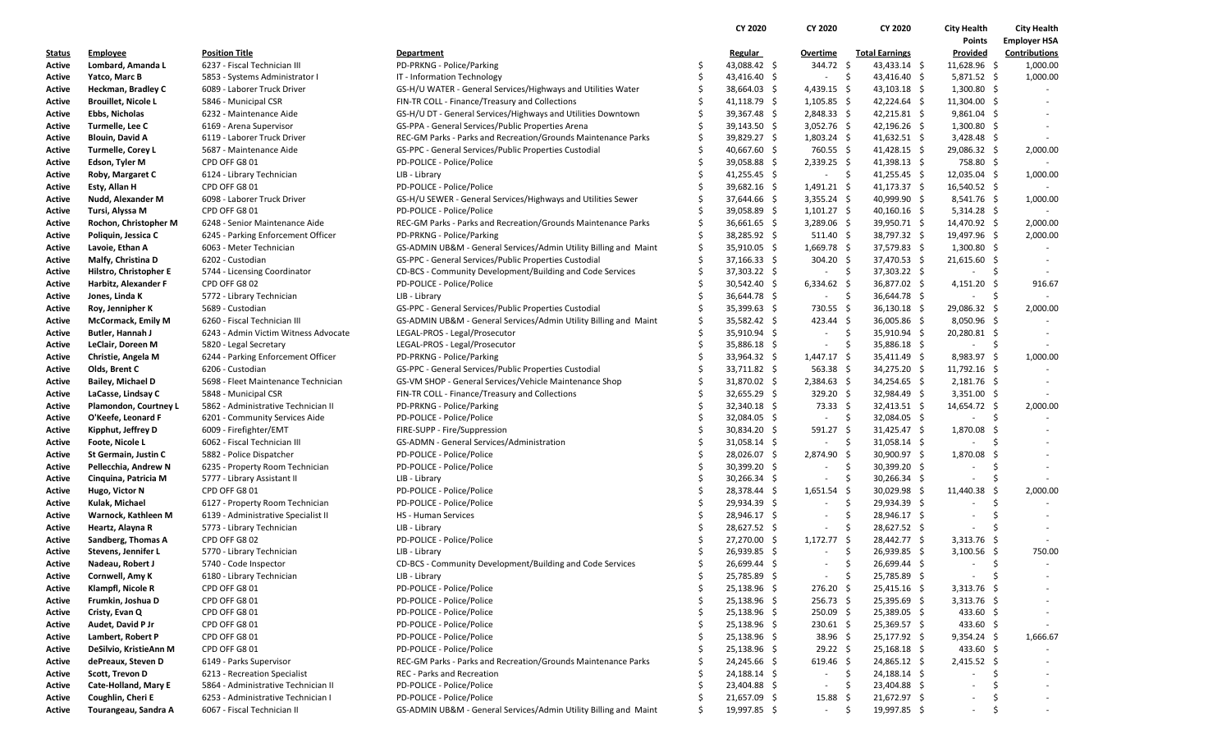|                  |                            |                                                         |                                                                  |     | CY 2020        | CY 2020                  | CY 2020                               | <b>City Health</b>         | <b>City Health</b>   |
|------------------|----------------------------|---------------------------------------------------------|------------------------------------------------------------------|-----|----------------|--------------------------|---------------------------------------|----------------------------|----------------------|
|                  |                            |                                                         |                                                                  |     |                |                          |                                       | Points                     | <b>Employer HSA</b>  |
| <u>Status</u>    | <b>Employee</b>            | <b>Position Title</b>                                   | <b>Department</b>                                                |     | Regular        | Overtime                 | <b>Total Earnings</b>                 | Provided                   | <b>Contributions</b> |
| Active           | Lombard, Amanda L          | 6237 - Fiscal Technician III                            | PD-PRKNG - Police/Parking                                        |     | 43,088.42 \$   | 344.72 \$                | 43,433.14 \$                          | $11,628.96$ \$             | 1,000.00             |
| Active           | Yatco, Marc B              | 5853 - Systems Administrator I                          | IT - Information Technology                                      |     | 43,416.40 \$   | $\overline{\phantom{a}}$ | -\$<br>43,416.40 \$                   | $5,871.52$ \$              | 1,000.00             |
| Active           | Heckman, Bradley C         | 6089 - Laborer Truck Driver                             | GS-H/U WATER - General Services/Highways and Utilities Water     | \$  | 38,664.03 \$   | $4,439.15$ \$            | $43,103.18$ \$                        | $1,300.80$ \$              |                      |
| Active           | <b>Brouillet, Nicole L</b> | 5846 - Municipal CSR                                    | FIN-TR COLL - Finance/Treasury and Collections                   |     | $41,118.79$ \$ | $1,105.85$ \$            | $42,224.64$ \$                        | 11,304.00 \$               |                      |
| Active           | Ebbs, Nicholas             | 6232 - Maintenance Aide                                 | GS-H/U DT - General Services/Highways and Utilities Downtown     | Ŝ   | 39,367.48 \$   | $2,848.33$ \$            | $42,215.81$ \$                        | $9,861.04$ \$              |                      |
| Active           | Turmelle, Lee C            | 6169 - Arena Supervisor                                 | GS-PPA - General Services/Public Properties Arena                | Ŝ   | 39,143.50 \$   | $3,052.76$ \$            | $42,196.26$ \$                        | $1,300.80$ \$              |                      |
| Active           | <b>Blouin, David A</b>     | 6119 - Laborer Truck Driver                             | REC-GM Parks - Parks and Recreation/Grounds Maintenance Parks    | Ŝ   | 39,829.27 \$   | $1,803.24$ \$            | $41,632.51$ \$                        | $3,428.48$ \$              |                      |
| Active           | <b>Turmelle, Corey L</b>   | 5687 - Maintenance Aide                                 | GS-PPC - General Services/Public Properties Custodial            |     | 40,667.60 \$   | 760.55 \$                | $41,428.15$ \$                        | 29,086.32 \$               | 2,000.00             |
| Active           | Edson, Tyler M             | CPD OFF G8 01                                           | PD-POLICE - Police/Police                                        | Ŝ   | 39,058.88 \$   | $2,339.25$ \$            | $41,398.13$ \$                        | 758.80 \$                  |                      |
| Active           | Roby, Margaret C           | 6124 - Library Technician                               | LIB - Library                                                    |     | 41,255.45 \$   | $\sim$                   | $\ddot{\mathsf{s}}$<br>$41,255.45$ \$ | $12,035.04$ \$             | 1,000.00             |
| Active           | Esty, Allan H              | CPD OFF G8 01                                           | PD-POLICE - Police/Police                                        |     | 39,682.16 \$   | $1,491.21 \quad$ \$      | $41,173.37$ \$                        | 16,540.52 \$               |                      |
| Active           | Nudd, Alexander M          | 6098 - Laborer Truck Driver                             | GS-H/U SEWER - General Services/Highways and Utilities Sewer     |     | 37,644.66 \$   | $3,355.24$ \$            | 40,999.90 \$                          | $8,541.76$ \$              | 1,000.00             |
| Active           | Tursi, Alyssa M            | CPD OFF G8 01                                           | PD-POLICE - Police/Police                                        |     | 39,058.89 \$   | $1,101.27$ \$            | $40,160.16$ \$                        | $5,314.28$ \$              |                      |
| Active           | Rochon, Christopher M      | 6248 - Senior Maintenance Aide                          | REC-GM Parks - Parks and Recreation/Grounds Maintenance Parks    | Ŝ   | $36,661.65$ \$ | $3,289.06$ \$            | 39,950.71 \$                          | 14,470.92 \$               | 2,000.00             |
| Active           | Poliquin, Jessica C        | 6245 - Parking Enforcement Officer                      | PD-PRKNG - Police/Parking                                        | \$  | 38,285.92 \$   | $511.40 \pm$             | 38,797.32 \$                          | 19,497.96 \$               | 2,000.00             |
| Active           | Lavoie, Ethan A            | 6063 - Meter Technician                                 | GS-ADMIN UB&M - General Services/Admin Utility Billing and Maint | Ŝ.  | 35,910.05 \$   | $1,669.78$ \$            | 37,579.83 \$                          | $1,300.80$ \$              |                      |
| Active           | Malfy, Christina D         | 6202 - Custodian                                        | GS-PPC - General Services/Public Properties Custodial            | Ś   | $37,166.33$ \$ | 304.20 \$                | 37,470.53 \$                          | $21,615.60$ \$             |                      |
| Active           | Hilstro, Christopher E     | 5744 - Licensing Coordinator                            | CD-BCS - Community Development/Building and Code Services        | S   | 37,303.22 \$   | $\sim$                   | \$<br>37,303.22 \$                    | - \$                       |                      |
| Active           | Harbitz, Alexander F       | CPD OFF G8 02                                           | PD-POLICE - Police/Police                                        |     | 30,542.40 \$   | $6,334.62$ \$            | 36,877.02 \$                          | $4,151.20$ \$              | 916.67               |
| Active           | Jones, Linda K             | 5772 - Library Technician                               | LIB - Library                                                    |     | 36,644.78 \$   | $\sim$                   | -\$<br>36,644.78 \$                   | $\sim 100$                 | - \$                 |
| Active           | Roy, Jennipher K           | 5689 - Custodian                                        | GS-PPC - General Services/Public Properties Custodial            | S   | 35,399.63 \$   | 730.55 \$                | $36,130.18$ \$                        | 29,086.32 \$               | 2,000.00             |
| Active           | McCormack, Emily M         | 6260 - Fiscal Technician III                            | GS-ADMIN UB&M - General Services/Admin Utility Billing and Maint | Ŝ   | 35,582.42 \$   | $423.44 \div$            | 36,005.86 \$                          | 8,050.96 \$                |                      |
| Active           | Butler, Hannah J           | 6243 - Admin Victim Witness Advocate                    | LEGAL-PROS - Legal/Prosecutor                                    |     | 35,910.94 \$   | $\sim$                   | -\$<br>35,910.94 \$                   | 20,280.81 \$               |                      |
| Active           | LeClair, Doreen M          | 5820 - Legal Secretary                                  | LEGAL-PROS - Legal/Prosecutor                                    | Ŝ   | 35,886.18 \$   | $\sim$                   | \$<br>35,886.18 \$                    | $-5$                       |                      |
| Active           | Christie, Angela M         | 6244 - Parking Enforcement Officer                      | PD-PRKNG - Police/Parking                                        |     | 33,964.32 \$   | $1,447.17$ \$            | 35,411.49 \$                          | 8,983.97 \$                | 1,000.00             |
| Active           | Olds, Brent C              | 6206 - Custodian                                        | GS-PPC - General Services/Public Properties Custodial            |     | 33,711.82 \$   | $563.38\frac{2}{3}$      | 34,275.20 \$                          | $11,792.16$ \$             |                      |
| Active           | <b>Bailey, Michael D</b>   | 5698 - Fleet Maintenance Technician                     | GS-VM SHOP - General Services/Vehicle Maintenance Shop           |     | 31,870.02 \$   | $2,384.63$ \$            | 34,254.65 \$                          | $2,181.76$ \$              |                      |
| Active           | LaCasse, Lindsay C         | 5848 - Municipal CSR                                    | FIN-TR COLL - Finance/Treasury and Collections                   |     | 32,655.29 \$   | 329.20 \$                | 32,984.49 \$                          | $3,351.00$ \$              |                      |
| Active           | Plamondon, Courtney L      | 5862 - Administrative Technician II                     | PD-PRKNG - Police/Parking                                        |     | 32,340.18 \$   | 73.33 \$                 | $32,413.51$ \$                        | 14,654.72 \$               | 2,000.00             |
| Active           | O'Keefe, Leonard F         | 6201 - Community Services Aide                          | PD-POLICE - Police/Police                                        |     | 32,084.05 \$   | $\sim$                   | \$<br>32,084.05 \$                    | $\sim$                     | -\$                  |
| Active           | Kipphut, Jeffrey D         | 6009 - Firefighter/EMT                                  | FIRE-SUPP - Fire/Suppression                                     |     | 30,834.20 \$   | $591.27$ \$              | 31,425.47 \$                          | 1,870.08 \$                |                      |
| Active           | Foote, Nicole L            | 6062 - Fiscal Technician III                            | GS-ADMN - General Services/Administration                        |     | $31,058.14$ \$ | $\sim$                   | -\$<br>$31,058.14$ \$                 |                            | -S                   |
| Active           | St Germain, Justin C       | 5882 - Police Dispatcher                                | PD-POLICE - Police/Police                                        | \$  | 28,026.07 \$   | 2,874.90                 | -\$<br>30,900.97 \$                   | 1,870.08                   | -S                   |
| Active           | Pellecchia, Andrew N       | 6235 - Property Room Technician                         | PD-POLICE - Police/Police                                        |     | $30,399.20$ \$ | $\sim$                   | \$<br>$30,399.20$ \$                  |                            | -\$                  |
| Active           | Cinquina, Patricia M       | 5777 - Library Assistant II                             | LIB - Library                                                    |     | $30,266.34$ \$ | $\overline{\phantom{a}}$ | -\$<br>$30,266.34$ \$                 |                            | -S                   |
| Active           | Hugo, Victor N             | CPD OFF G8 01                                           | PD-POLICE - Police/Police                                        | \$. | 28,378.44 \$   | $1,651.54$ \$            | 30,029.98 \$                          | 11,440.38                  | 2,000.00             |
| Active           | Kulak, Michael             | 6127 - Property Room Technician                         | PD-POLICE - Police/Police                                        |     | 29,934.39 \$   | $\sim$                   | \$<br>29,934.39 \$                    | $\sim$                     | -\$                  |
| Active           | Warnock, Kathleen M        | 6139 - Administrative Specialist II                     | HS - Human Services                                              |     | 28,946.17 \$   | $\overline{\phantom{a}}$ | Ŝ.<br>28,946.17 \$                    | $\sim$                     | Ŝ.                   |
| Active           | Heartz, Alayna R           | 5773 - Library Technician                               | LIB - Library                                                    | S   | 28,627.52 \$   | $\sim$                   | \$<br>28,627.52 \$                    | $\sim$                     | -\$                  |
| Active           | Sandberg, Thomas A         | CPD OFF G8 02                                           | PD-POLICE - Police/Police                                        |     | 27,270.00 \$   | $1,172.77$ \$            | 28,442.77 \$                          | $3,313.76$ \$              | $\sim$               |
| Active           | Stevens, Jennifer L        | 5770 - Library Technician                               | LIB - Library                                                    |     | 26,939.85 \$   | $\overline{\phantom{a}}$ | \$<br>$26,939.85$ \$                  | 3,100.56 \$                | 750.00               |
| Active           | Nadeau, Robert J           | 5740 - Code Inspector                                   | CD-BCS - Community Development/Building and Code Services        | Ŝ   | 26,699.44 \$   | $\sim$                   | \$<br>26,699.44 \$                    | $\sim$                     | -\$<br>$\sim$        |
| Active           | Cornwell, Amy K            | 6180 - Library Technician                               | LIB - Library                                                    | S   | 25,785.89 \$   | $\sim$                   | -\$<br>25,785.89 \$                   |                            | -\$                  |
| Active           | Klampfl, Nicole R          | CPD OFF G8 01                                           | PD-POLICE - Police/Police                                        |     | 25,138.96 \$   | $276.20$ \$              | $25,415.16$ \$                        | $3,313.76$ \$              |                      |
| Active           | Frumkin, Joshua D          | CPD OFF G8 01                                           | PD-POLICE - Police/Police                                        |     | 25,138.96 \$   | $256.73$ \$              | 25,395.69 \$                          | $3,313.76$ \$              |                      |
|                  | Cristy, Evan Q             | CPD OFF G8 01                                           | PD-POLICE - Police/Police                                        |     | 25,138.96 \$   | $250.09$ \$              | 25,389.05 \$                          | 433.60 \$                  |                      |
| Active<br>Active | Audet, David P Jr          | CPD OFF G8 01                                           | PD-POLICE - Police/Police                                        |     | 25,138.96 \$   | 230.61 \$                | 25,369.57 \$                          | 433.60 \$                  |                      |
|                  | Lambert, Robert P          | CPD OFF G8 01                                           | PD-POLICE - Police/Police                                        |     | 25,138.96 \$   | $38.96 \quad $$          | 25,177.92 \$                          | $9,354.24$ \$              |                      |
| Active           | DeSilvio, KristieAnn M     | CPD OFF G8 01                                           | PD-POLICE - Police/Police                                        |     | 25,138.96 \$   |                          |                                       |                            | 1,666.67             |
| Active           |                            |                                                         | REC-GM Parks - Parks and Recreation/Grounds Maintenance Parks    |     | 24,245.66 \$   | $29.22 \div$             | $25,168.18$ \$<br>24,865.12 \$        | 433.60 \$<br>$2,415.52$ \$ |                      |
| Active           | dePreaux, Steven D         | 6149 - Parks Supervisor<br>6213 - Recreation Specialist | REC - Parks and Recreation                                       |     |                | $619.46$ \$<br>$\sim$    | -\$                                   | $\sim$                     | Ś.                   |
| Active           | Scott, Trevon D            | 5864 - Administrative Technician II                     |                                                                  |     | 24,188.14 \$   |                          | 24,188.14 \$<br>-S                    | $\sim$                     | -S                   |
| Active           | Cate-Holland, Mary E       |                                                         | PD-POLICE - Police/Police                                        |     | 23,404.88 \$   | $\overline{\phantom{a}}$ | 23,404.88 \$                          |                            | $\sim$               |
| Active           | Coughlin, Cheri E          | 6253 - Administrative Technician I                      | PD-POLICE - Police/Police                                        | \$  | 21,657.09 \$   | 15.88                    | -\$<br>21,672.97 \$                   |                            | -S                   |
| Active           | Tourangeau, Sandra A       | 6067 - Fiscal Technician II                             | GS-ADMIN UB&M - General Services/Admin Utility Billing and Maint |     | 19,997.85 \$   | $\sim$                   | -\$<br>19,997.85 \$                   | $\sim$                     | -\$<br>$\sim$        |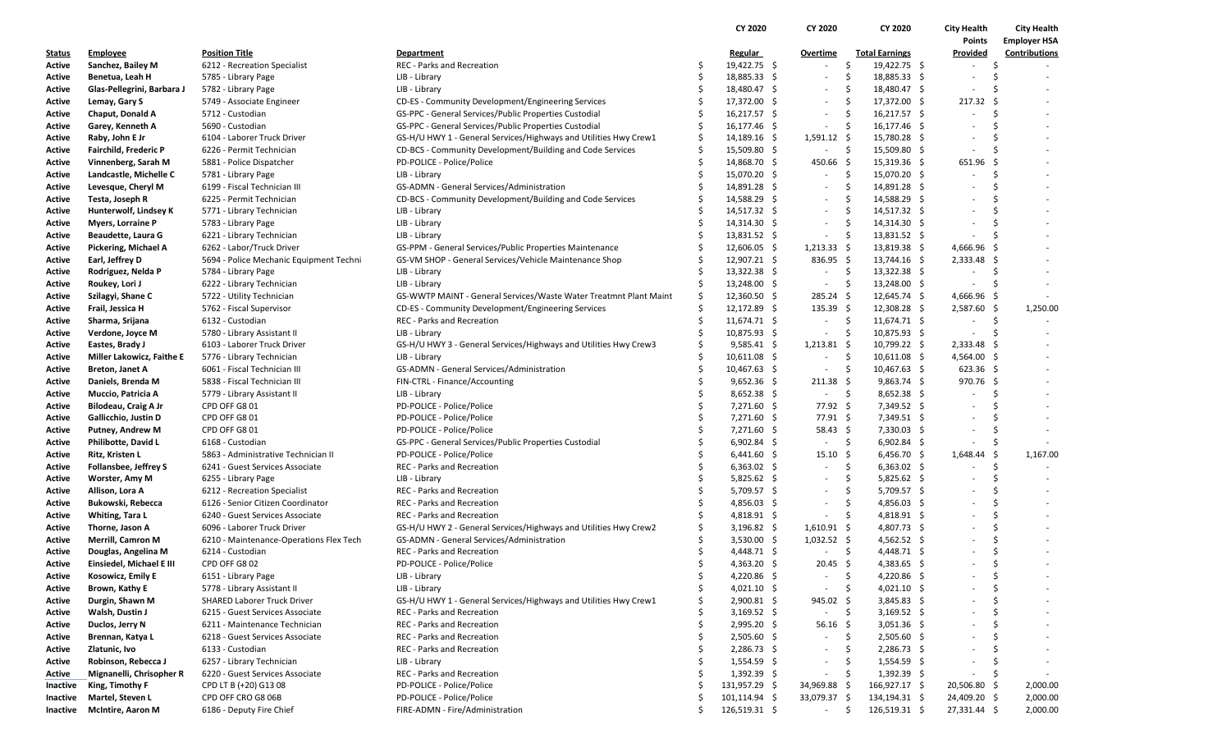|               |                              |                                         |                                                                   |     | CY 2020               | CY 2020                  | CY 2020                             | <b>City Health</b>       | <b>City Health</b>   |
|---------------|------------------------------|-----------------------------------------|-------------------------------------------------------------------|-----|-----------------------|--------------------------|-------------------------------------|--------------------------|----------------------|
|               |                              |                                         |                                                                   |     |                       |                          |                                     | Points                   | <b>Employer HSA</b>  |
| <u>Status</u> | <b>Employee</b>              | <b>Position Title</b>                   | <b>Department</b>                                                 |     | <b>Regular</b>        | Overtime                 | <b>Total Earnings</b>               | Provided                 | <b>Contributions</b> |
| Active        | Sanchez, Bailey M            | 6212 - Recreation Specialist            | <b>REC - Parks and Recreation</b>                                 |     | 19,422.75 \$          | $\sim$                   | \$<br>19,422.75 \$                  | $\sim$                   | -\$                  |
| Active        | Benetua, Leah H              | 5785 - Library Page                     | LIB - Library                                                     |     | 18,885.33 \$          | $\sim$                   | \$<br>18,885.33 \$                  | $\sim$                   | - Ś                  |
| Active        | Glas-Pellegrini, Barbara J   | 5782 - Library Page                     | LIB - Library                                                     | -S  | 18,480.47 \$          |                          | Ŝ<br>18,480.47 \$                   | $\overline{\phantom{a}}$ | - Ś                  |
| Active        | Lemay, Gary S                | 5749 - Associate Engineer               | CD-ES - Community Development/Engineering Services                |     | 17,372.00 \$          | $\sim$                   | \$<br>17,372.00 \$                  | 217.32 \$                |                      |
| Active        | Chaput, Donald A             | 5712 - Custodian                        | GS-PPC - General Services/Public Properties Custodial             |     | $16,217.57$ \$        | $\sim$                   | \$<br>$16,217.57$ \$                | $\blacksquare$           | -\$<br>$\sim$        |
| Active        | Garey, Kenneth A             | 5690 - Custodian                        | GS-PPC - General Services/Public Properties Custodial             | -\$ | 16,177.46 \$          | $\sim$                   | \$<br>16,177.46 \$                  | ÷,                       | -Ś                   |
| Active        | Raby, John E Jr              | 6104 - Laborer Truck Driver             | GS-H/U HWY 1 - General Services/Highways and Utilities Hwy Crew1  | -Ś  | $14,189.16$ \$        | $1,591.12 \div$          | 15,780.28 \$                        | $\overline{\phantom{a}}$ | Ŝ.                   |
| Active        | <b>Fairchild, Frederic P</b> | 6226 - Permit Technician                | CD-BCS - Community Development/Building and Code Services         |     | 15,509.80 \$          | $\sim$                   | -\$<br>15,509.80 \$                 | $\overline{\phantom{a}}$ | Ś.                   |
| Active        | Vinnenberg, Sarah M          | 5881 - Police Dispatcher                | PD-POLICE - Police/Police                                         | S.  | 14,868.70 \$          | 450.66                   | - \$<br>$15,319.36$ \$              | $651.96$ \$              |                      |
| Active        | Landcastle, Michelle C       | 5781 - Library Page                     | LIB - Library                                                     |     | 15,070.20 \$          | $\sim$                   | \$.<br>15,070.20 \$                 | ÷.                       | -\$                  |
| Active        | Levesque, Cheryl M           | 6199 - Fiscal Technician III            | GS-ADMN - General Services/Administration                         |     | 14,891.28 \$          | $\overline{\phantom{a}}$ | 14,891.28 \$<br>Ŝ.                  |                          | -Ś                   |
| Active        | Testa, Joseph R              | 6225 - Permit Technician                | CD-BCS - Community Development/Building and Code Services         |     | 14,588.29 \$          | $\sim$                   | \$.<br>14,588.29 \$                 | $\overline{\phantom{0}}$ | Ŝ.                   |
| Active        | Hunterwolf, Lindsey K        | 5771 - Library Technician               | LIB - Library                                                     |     | 14,517.32 \$          | $\sim$                   | Ŝ.<br>14,517.32 \$                  | $\overline{\phantom{a}}$ | Ŝ.                   |
| Active        | <b>Myers, Lorraine P</b>     | 5783 - Library Page                     | LIB - Library                                                     |     | $14,314.30 \; \simeq$ | $\overline{\phantom{a}}$ | \$.<br>14,314.30 \$                 | $\overline{\phantom{a}}$ | -Ś                   |
| Active        | Beaudette, Laura G           | 6221 - Library Technician               | LIB - Library                                                     |     | $13,831.52 \div$      | $\sim$                   | \$.<br>13,831.52 \$                 | $\sim$                   | -\$                  |
| Active        | Pickering, Michael A         | 6262 - Labor/Truck Driver               | GS-PPM - General Services/Public Properties Maintenance           |     | $12,606.05$ \$        | $1,213.33$ \$            | $13,819.38$ \$                      | 4,666.96 \$              |                      |
| Active        | Earl, Jeffrey D              | 5694 - Police Mechanic Equipment Techni | GS-VM SHOP - General Services/Vehicle Maintenance Shop            |     | 12,907.21 \$          | $836.95$ \$              | 13,744.16 \$                        | $2,333.48$ \$            |                      |
| Active        | Rodriguez, Nelda P           | 5784 - Library Page                     | LIB - Library                                                     | -S  | $13,322.38$ \$        | $\sim$                   | \$<br>$13,322.38$ \$                | $\overline{\phantom{a}}$ | -\$                  |
| Active        | Roukey, Lori J               | 6222 - Library Technician               | LIB - Library                                                     | Ŝ   | $13,248.00$ \$        | $\sim$                   | \$<br>13,248.00 \$                  | $\sim$                   | -\$                  |
| Active        | Szilagyi, Shane C            | 5722 - Utility Technician               | GS-WWTP MAINT - General Services/Waste Water Treatmnt Plant Maint | Ŝ.  | $12,360.50$ \$        | $285.24$ \$              | $12,645.74$ \$                      | $4,666.96$ \$            |                      |
| Active        | Frail, Jessica H             | 5762 - Fiscal Supervisor                | CD-ES - Community Development/Engineering Services                | -\$ | $12,172.89$ \$        | $135.39 \; \simeq$       | $12,308.28$ \$                      | $2,587.60$ \$            | 1,250.00             |
| Active        | Sharma, Srijana              | 6132 - Custodian                        | REC - Parks and Recreation                                        | S.  | $11,674.71$ \$        | $\sim$                   | \$<br>$11,674.71$ \$                | $\overline{\phantom{a}}$ | \$                   |
| Active        | Verdone, Joyce M             | 5780 - Library Assistant II             | LIB - Library                                                     |     | $10,875.93$ \$        | $\overline{\phantom{a}}$ | Ŝ.<br>$10,875.93$ \$                | $\overline{\phantom{a}}$ | -\$                  |
| Active        | Eastes, Brady J              | 6103 - Laborer Truck Driver             | GS-H/U HWY 3 - General Services/Highways and Utilities Hwy Crew3  | \$  | $9,585.41$ \$         | $1,213.81$ \$            | 10,799.22 \$                        | $2,333.48$ \$            |                      |
| Active        | Miller Lakowicz, Faithe E    | 5776 - Library Technician               | LIB - Library                                                     |     | 10,611.08 \$          | $\sim$                   | \$<br>$10,611.08$ \$                | 4,564.00 \$              |                      |
| Active        | Breton, Janet A              | 6061 - Fiscal Technician III            | GS-ADMN - General Services/Administration                         |     | 10,467.63 \$          | $\sim$                   | Ŝ.<br>$10,467.63$ \$                | $623.36$ \$              |                      |
| Active        | Daniels, Brenda M            | 5838 - Fiscal Technician III            | FIN-CTRL - Finance/Accounting                                     |     | $9,652.36$ \$         | $211.38 \; \text{S}$     | $9,863.74$ \$                       | 970.76 \$                |                      |
| Active        | Muccio, Patricia A           | 5779 - Library Assistant II             | LIB - Library                                                     |     | $8,652.38$ \$         | $\sim$                   | -\$<br>$8,652.38$ \$                | $\overline{\phantom{a}}$ | -\$                  |
| Active        | Bilodeau, Craig A Jr         | CPD OFF G8 01                           | PD-POLICE - Police/Police                                         | Ŝ   | $7,271.60$ \$         | 77.92 \$                 | 7,349.52 \$                         | ٠                        | -Ś                   |
| Active        | Gallicchio, Justin D         | CPD OFF G8 01                           | PD-POLICE - Police/Police                                         |     | $7,271.60$ \$         | 77.91 \$                 | $7,349.51$ \$                       | $\overline{\phantom{a}}$ | Ŝ.                   |
| Active        | Putney, Andrew M             | CPD OFF G8 01                           | PD-POLICE - Police/Police                                         |     | $7,271.60$ \$         | $58.43 \quad $$          | 7,330.03 \$                         | $\overline{\phantom{a}}$ | -\$                  |
| Active        | Philibotte, David L          | 6168 - Custodian                        | GS-PPC - General Services/Public Properties Custodial             |     | $6,902.84$ \$         | $\sim$                   | -\$<br>$6,902.84$ \$                | ٠                        | -\$                  |
| Active        | Ritz, Kristen L              | 5863 - Administrative Technician II     | PD-POLICE - Police/Police                                         |     | $6,441.60$ \$         | 15.10                    | \$<br>$6,456.70$ \$                 | $1,648.44$ \$            | 1,167.00             |
| Active        | <b>Follansbee, Jeffrey S</b> | 6241 - Guest Services Associate         | REC - Parks and Recreation                                        |     | $6,363.02$ \$         | $\sim$                   | \$<br>$6,363.02$ \$                 | $\overline{\phantom{a}}$ | -\$                  |
| Active        | Worster, Amy M               | 6255 - Library Page                     | LIB - Library                                                     | Ś   | $5,825.62$ \$         | $\sim$                   | Ŝ<br>$5,825.62$ \$                  | ٠                        | -Ś                   |
| Active        | Allison, Lora A              | 6212 - Recreation Specialist            | <b>REC - Parks and Recreation</b>                                 |     | $5,709.57$ \$         | $\sim$                   | $\ddot{\varsigma}$<br>$5,709.57$ \$ | $\overline{\phantom{0}}$ | Ŝ.                   |
| Active        | Bukowski, Rebecca            | 6126 - Senior Citizen Coordinator       | <b>REC - Parks and Recreation</b>                                 |     | 4,856.03 \$           | $\sim$                   | \$<br>4,856.03 \$                   | ٠                        | Ŝ.                   |
| Active        | Whiting, Tara L              | 6240 - Guest Services Associate         | REC - Parks and Recreation                                        |     | 4,818.91 \$           | $\sim$                   | -Ś<br>$4,818.91$ \$                 |                          | Ŝ.                   |
| Active        | Thorne, Jason A              | 6096 - Laborer Truck Driver             | GS-H/U HWY 2 - General Services/Highways and Utilities Hwy Crew2  |     | $3,196.82 \quad$ \$   | $1,610.91$ \$            | 4,807.73 \$                         |                          | Ŝ.                   |
| Active        | <b>Merrill, Camron M</b>     | 6210 - Maintenance-Operations Flex Tech | GS-ADMN - General Services/Administration                         |     | $3,530.00$ \$         | $1,032.52$ \$            | $4,562.52$ \$                       |                          | \$                   |
| Active        | Douglas, Angelina M          | 6214 - Custodian                        | <b>REC</b> - Parks and Recreation                                 | Ś   | $4,448.71$ \$         | $\sim$                   | \$<br>$4,448.71$ \$                 |                          | \$                   |
| Active        | Einsiedel, Michael E III     | CPD OFF G8 02                           | PD-POLICE - Police/Police                                         |     | $4,363.20$ \$         | $20.45$ \$               | $4,383.65$ \$                       | $\sim$                   | -\$                  |
| Active        | Kosowicz, Emily E            | 6151 - Library Page                     | LIB - Library                                                     | -S  | 4,220.86 \$           | $\overline{\phantom{a}}$ | 4,220.86 \$<br>-\$                  |                          | -S                   |
| Active        | Brown, Kathy E               | 5778 - Library Assistant II             | LIB - Library                                                     | \$  | $4,021.10$ \$         | $\sim$                   | \$<br>$4,021.10$ \$                 |                          | Ś                    |
| Active        | Durgin, Shawn M              | <b>SHARED Laborer Truck Driver</b>      | GS-H/U HWY 1 - General Services/Highways and Utilities Hwy Crew1  |     | $2,900.81$ \$         | 945.02                   | $3,845.83$ \$<br>-\$                |                          | \$                   |
| Active        | Walsh, Dustin J              | 6215 - Guest Services Associate         | REC - Parks and Recreation                                        |     | 3,169.52 \$           | $\overline{\phantom{a}}$ | -\$<br>3,169.52 \$                  |                          | \$                   |
| Active        | Duclos, Jerry N              | 6211 - Maintenance Technician           | REC - Parks and Recreation                                        | Ŝ   | $2,995.20$ \$         | 56.16                    | $3,051.36$ \$<br>-\$                |                          | S                    |
| Active        | Brennan, Katya L             | 6218 - Guest Services Associate         | REC - Parks and Recreation                                        |     | $2,505.60$ \$         | $\overline{\phantom{a}}$ | \$<br>$2,505.60$ \$                 |                          | \$                   |
| Active        | Zlatunic, Ivo                | 6133 - Custodian                        | REC - Parks and Recreation                                        |     | $2,286.73$ \$         | $\sim$                   | Ŝ<br>$2,286.73$ \$                  | $\overline{\phantom{a}}$ | Ś.                   |
| Active        | Robinson, Rebecca J          | 6257 - Library Technician               | LIB - Library                                                     |     | $1,554.59$ \$         |                          | \$.<br>$1,554.59$ \$                | $\overline{\phantom{a}}$ | -\$                  |
| Active        | Mignanelli, Chrisopher R     | 6220 - Guest Services Associate         | REC - Parks and Recreation                                        |     | $1,392.39$ \$         | $\overline{\phantom{a}}$ | -\$<br>$1,392.39$ \$                | $\sim$                   | -\$                  |
| Inactive      | King, Timothy F              | CPD LT B (+20) G13 08                   | PD-POLICE - Police/Police                                         |     | 131,957.29 \$         | 34,969.88 \$             | 166,927.17 \$                       | 20,506.80 \$             | 2,000.00             |
| Inactive      | Martel, Steven L             | CPD OFF CRO G8 06B                      | PD-POLICE - Police/Police                                         |     | $101, 114.94$ \$      | 33,079.37 \$             | 134,194.31 \$                       | 24,409.20 \$             | 2,000.00             |
| Inactive      | <b>McIntire, Aaron M</b>     | 6186 - Deputy Fire Chief                | FIRE-ADMN - Fire/Administration                                   |     | 126,519.31 \$         | $\sim$                   | \$<br>126,519.31 \$                 | 27,331.44 \$             | 2,000.00             |
|               |                              |                                         |                                                                   |     |                       |                          |                                     |                          |                      |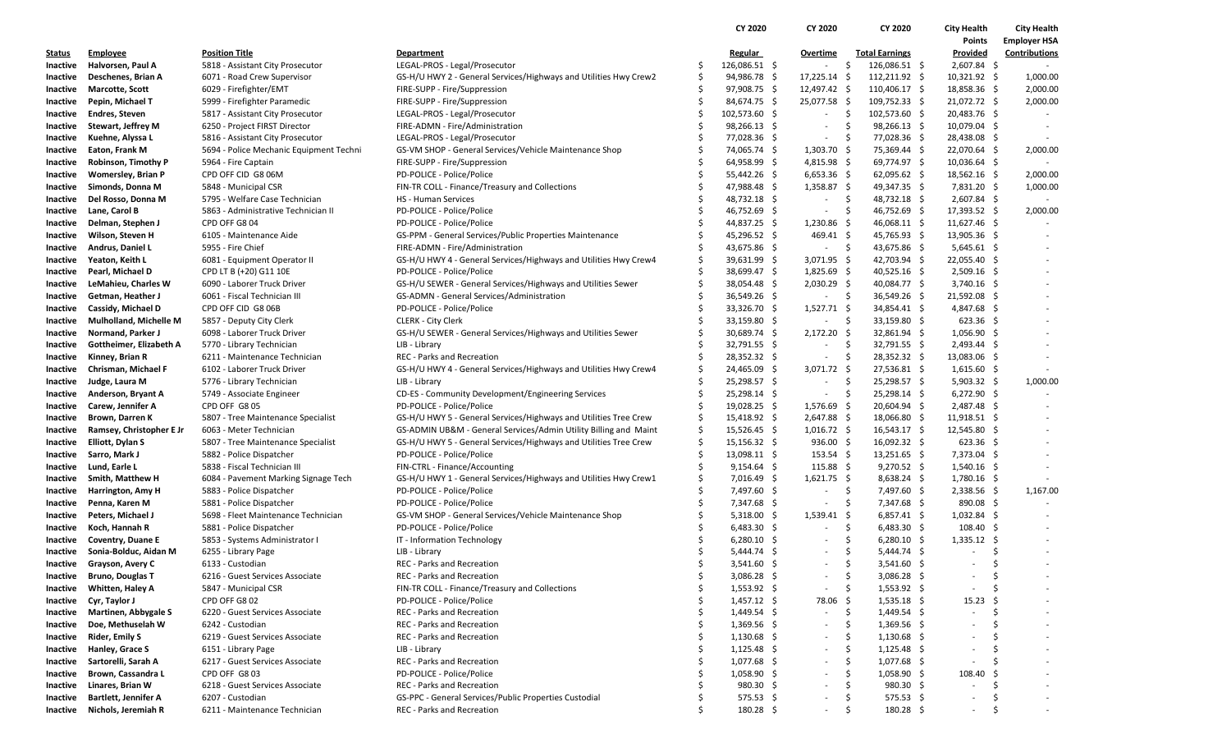|               |                               |                                         |                                                                  |    | CY 2020              | CY 2020                  |                       | CY 2020          | <b>City Health</b> | <b>City Health</b>  |
|---------------|-------------------------------|-----------------------------------------|------------------------------------------------------------------|----|----------------------|--------------------------|-----------------------|------------------|--------------------|---------------------|
|               |                               |                                         |                                                                  |    |                      |                          |                       |                  | Points             | <b>Employer HSA</b> |
| <u>Status</u> | <b>Employee</b>               | <b>Position Title</b>                   | <b>Department</b>                                                |    | <b>Regular</b>       | Overtime                 | <b>Total Earnings</b> |                  | Provided           | Contributions       |
| Inactive      | Halvorsen, Paul A             | 5818 - Assistant City Prosecutor        | LEGAL-PROS - Legal/Prosecutor                                    | \$ | 126,086.51 \$        | $\sim$                   | \$<br>126,086.51 \$   |                  | $2,607.84$ \$      |                     |
| Inactive      | Deschenes, Brian A            | 6071 - Road Crew Supervisor             | GS-H/U HWY 2 - General Services/Highways and Utilities Hwy Crew2 | \$ | 94,986.78 \$         | $17,225.14$ \$           | 112,211.92 \$         |                  | $10,321.92$ \$     | 1,000.00            |
| Inactive      | <b>Marcotte, Scott</b>        | 6029 - Firefighter/EMT                  | FIRE-SUPP - Fire/Suppression                                     | \$ | 97,908.75 \$         | 12,497.42 \$             | 110,406.17 \$         |                  | 18,858.36 \$       | 2,000.00            |
| Inactive      | Pepin, Michael T              | 5999 - Firefighter Paramedic            | FIRE-SUPP - Fire/Suppression                                     | \$ | 84,674.75 \$         | 25,077.58 \$             | $109,752.33$ \$       |                  | 21,072.72 \$       | 2,000.00            |
| Inactive      | <b>Endres, Steven</b>         | 5817 - Assistant City Prosecutor        | LEGAL-PROS - Legal/Prosecutor                                    | Ś  | 102,573.60 \$        | $\overline{\phantom{a}}$ | -\$<br>102,573.60 \$  |                  | 20,483.76 \$       |                     |
| Inactive      | Stewart, Jeffrey M            | 6250 - Project FIRST Director           | FIRE-ADMN - Fire/Administration                                  | \$ | $98,266.13$ \$       |                          | \$                    | $98,266.13$ \$   | 10,079.04 \$       |                     |
| Inactive      | Kuehne, Alyssa L              | 5816 - Assistant City Prosecutor        | LEGAL-PROS - Legal/Prosecutor                                    |    | 77,028.36 \$         | $\sim$                   | \$                    | 77,028.36 \$     | 28,438.08 \$       |                     |
| Inactive      | Eaton, Frank M                | 5694 - Police Mechanic Equipment Techni | GS-VM SHOP - General Services/Vehicle Maintenance Shop           | Ś  | 74,065.74 \$         | $1,303.70$ \$            |                       | 75,369.44 \$     | 22,070.64 \$       | 2,000.00            |
| Inactive      | Robinson, Timothy P           | 5964 - Fire Captain                     | FIRE-SUPP - Fire/Suppression                                     | \$ | 64,958.99 \$         | $4,815.98$ \$            |                       | 69,774.97 \$     | $10,036.64$ \$     |                     |
| Inactive      | <b>Womersley, Brian P</b>     | CPD OFF CID G8 06M                      | PD-POLICE - Police/Police                                        | Ś  | $55,442.26$ \$       | $6,653.36$ \$            |                       | $62,095.62$ \$   | $18,562.16$ \$     | 2,000.00            |
| Inactive      | Simonds, Donna M              | 5848 - Municipal CSR                    | FIN-TR COLL - Finance/Treasury and Collections                   | Ŝ  | 47,988.48 \$         | $1,358.87$ \$            |                       | 49,347.35 \$     | 7,831.20 \$        | 1,000.00            |
| Inactive      | Del Rosso, Donna M            | 5795 - Welfare Case Technician          | <b>HS - Human Services</b>                                       | \$ | 48,732.18 \$         | $\sim$                   | \$                    | 48,732.18 \$     | $2,607.84$ \$      |                     |
| Inactive      | Lane, Carol B                 | 5863 - Administrative Technician II     | PD-POLICE - Police/Police                                        | Ś  | 46,752.69 \$         | $\sim$                   | \$                    | 46,752.69 \$     | 17,393.52 \$       | 2,000.00            |
| Inactive      | Delman, Stephen J             | CPD OFF G8 04                           | PD-POLICE - Police/Police                                        | Ś  | 44,837.25 \$         | 1,230.86 \$              |                       | 46,068.11 \$     | $11,627.46$ \$     |                     |
| Inactive      | Wilson, Steven H              | 6105 - Maintenance Aide                 | GS-PPM - General Services/Public Properties Maintenance          | \$ | 45,296.52 \$         | $469.41 \text{ }$        |                       | 45,765.93 \$     | $13,905.36$ \$     |                     |
| Inactive      | Andrus, Daniel L              | 5955 - Fire Chief                       | FIRE-ADMN - Fire/Administration                                  | \$ | 43,675.86 \$         | $\overline{\phantom{a}}$ | \$                    | 43,675.86 \$     | $5,645.61$ \$      |                     |
| Inactive      | Yeaton, Keith L               | 6081 - Equipment Operator II            | GS-H/U HWY 4 - General Services/Highways and Utilities Hwy Crew4 | \$ | 39,631.99 \$         | 3,071.95 \$              |                       | 42,703.94 \$     | 22,055.40 \$       |                     |
| Inactive      | Pearl, Michael D              | CPD LT B (+20) G11 10E                  | PD-POLICE - Police/Police                                        | \$ | 38,699.47 \$         | $1,825.69$ \$            |                       | $40,525.16$ \$   | $2,509.16$ \$      |                     |
| Inactive      | LeMahieu, Charles W           | 6090 - Laborer Truck Driver             | GS-H/U SEWER - General Services/Highways and Utilities Sewer     | \$ | 38,054.48 \$         | 2,030.29 \$              |                       | 40,084.77 \$     | $3,740.16$ \$      |                     |
| Inactive      | Getman, Heather J             | 6061 - Fiscal Technician III            | GS-ADMN - General Services/Administration                        | Ś  | 36,549.26 \$         | $\overline{\phantom{a}}$ | -\$                   | 36,549.26 \$     | 21,592.08 \$       |                     |
| Inactive      | Cassidy, Michael D            | CPD OFF CID G8 06B                      | PD-POLICE - Police/Police                                        | \$ | 33,326.70 \$         | $1,527.71$ \$            |                       | 34,854.41 \$     | 4,847.68 \$        |                     |
| Inactive      | <b>Mulholland, Michelle M</b> | 5857 - Deputy City Clerk                | <b>CLERK - City Clerk</b>                                        |    | 33,159.80 \$         | $\sim$                   | -\$                   | 33,159.80 \$     | $623.36$ \$        |                     |
| Inactive      | Normand, Parker J             | 6098 - Laborer Truck Driver             | GS-H/U SEWER - General Services/Highways and Utilities Sewer     | Ś  | 30,689.74 \$         | $2,172.20$ \$            |                       | 32,861.94 \$     | $1,056.90$ \$      |                     |
| Inactive      | Gottheimer, Elizabeth A       | 5770 - Library Technician               | LIB - Library                                                    | \$ | 32,791.55 \$         | $\sim$                   | -\$                   | 32,791.55 \$     | $2,493.44$ \$      |                     |
| Inactive      | Kinney, Brian R               | 6211 - Maintenance Technician           | <b>REC</b> - Parks and Recreation                                | Ś  | 28,352.32 \$         | $\sim$                   | -\$                   | 28,352.32 \$     | 13,083.06 \$       |                     |
| Inactive      | Chrisman, Michael F           | 6102 - Laborer Truck Driver             | GS-H/U HWY 4 - General Services/Highways and Utilities Hwy Crew4 | \$ | 24,465.09 \$         | $3,071.72$ \$            |                       | 27,536.81 \$     | $1,615.60$ \$      |                     |
| Inactive      | Judge, Laura M                | 5776 - Library Technician               | LIB - Library                                                    | \$ | 25,298.57 \$         | $\sim$                   | \$                    | 25,298.57 \$     | $5,903.32$ \$      | 1,000.00            |
| Inactive      | Anderson, Bryant A            | 5749 - Associate Engineer               | CD-ES - Community Development/Engineering Services               | \$ | 25,298.14 \$         | $\sim$                   | \$                    | $25,298.14$ \$   | $6,272.90$ \$      |                     |
| Inactive      | Carew, Jennifer A             | CPD OFF G8 05                           | PD-POLICE - Police/Police                                        | Ś  | $19,028.25$ \$       | $1,576.69$ \$            |                       | 20,604.94 \$     | 2,487.48 \$        |                     |
| Inactive      | Brown, Darren K               | 5807 - Tree Maintenance Specialist      | GS-H/U HWY 5 - General Services/Highways and Utilities Tree Crew | \$ | 15,418.92 \$         | $2,647.88$ \$            |                       | 18,066.80 \$     | $11,918.51$ \$     |                     |
| Inactive      | Ramsey, Christopher E Jr      | 6063 - Meter Technician                 | GS-ADMIN UB&M - General Services/Admin Utility Billing and Maint | \$ | 15,526.45 \$         | $1,016.72$ \$            |                       | $16,543.17$ \$   | 12,545.80 \$       |                     |
| Inactive      | Elliott, Dylan S              | 5807 - Tree Maintenance Specialist      | GS-H/U HWY 5 - General Services/Highways and Utilities Tree Crew | \$ | $15,156.32 \quad$ \$ | $936.00$ \$              |                       | $16,092.32 \div$ | $623.36$ \$        |                     |
| Inactive      | Sarro, Mark J                 | 5882 - Police Dispatcher                | PD-POLICE - Police/Police                                        | \$ | $13,098.11 \quad $$  | $153.54 \pm 5$           |                       | $13,251.65$ \$   | 7,373.04 \$        |                     |
| Inactive      | Lund, Earle L                 | 5838 - Fiscal Technician III            | FIN-CTRL - Finance/Accounting                                    | Ś  | $9,154.64$ \$        | $115.88 \; \simeq$       |                       | $9,270.52$ \$    | $1,540.16$ \$      |                     |
| Inactive      | Smith, Matthew H              | 6084 - Pavement Marking Signage Tech    | GS-H/U HWY 1 - General Services/Highways and Utilities Hwy Crew1 | \$ | $7,016.49$ \$        | $1,621.75$ \$            |                       | $8,638.24$ \$    | $1,780.16$ \$      |                     |
| Inactive      | <b>Harrington, Amy H</b>      | 5883 - Police Dispatcher                | PD-POLICE - Police/Police                                        | \$ | 7,497.60 \$          | $\sim$                   | -\$                   | 7,497.60 \$      | 2,338.56 \$        | 1,167.00            |
| Inactive      | Penna, Karen M                | 5881 - Police Dispatcher                | PD-POLICE - Police/Police                                        | Ś  | 7,347.68 \$          | $\overline{\phantom{a}}$ | -\$                   | 7,347.68 \$      | 890.08 \$          |                     |
| Inactive      | Peters, Michael J             | 5698 - Fleet Maintenance Technician     | GS-VM SHOP - General Services/Vehicle Maintenance Shop           | Ś  | $5,318.00$ \$        | $1,539.41$ \$            |                       | $6,857.41$ \$    | $1,032.84$ \$      |                     |
| Inactive      | Koch, Hannah R                | 5881 - Police Dispatcher                | PD-POLICE - Police/Police                                        | Ś  | $6,483.30$ \$        | $\overline{\phantom{a}}$ | \$                    | $6,483.30$ \$    | 108.40%            |                     |
| Inactive      | Coventry, Duane E             | 5853 - Systems Administrator I          | IT - Information Technology                                      | Ś  | $6,280.10$ \$        | $\overline{\phantom{a}}$ | \$                    | $6,280.10$ \$    | $1,335.12$ \$      |                     |
| Inactive      | Sonia-Bolduc, Aidan M         | 6255 - Library Page                     | LIB - Library                                                    | Ś  | $5,444.74$ \$        | $\overline{\phantom{a}}$ | -\$                   | $5,444.74$ \$    |                    | Š.                  |
| Inactive      | Grayson, Avery C              | 6133 - Custodian                        | <b>REC</b> - Parks and Recreation                                | Ś  | $3,541.60$ \$        | $\sim$                   | -\$                   | $3,541.60$ \$    | $\sim$             | Š.                  |
|               | Inactive Bruno, Douglas T     | 6216 - Guest Services Associate         | REC - Parks and Recreation                                       | \$ | $3,086.28$ \$        | $\sim$                   | -\$                   | $3,086.28$ \$    | $\sim$             | S                   |
| Inactive      | Whitten, Haley A              | 5847 - Municipal CSR                    | FIN-TR COLL - Finance/Treasury and Collections                   | Ś  | $1,553.92$ \$        | $\sim$                   | -\$                   | $1,553.92$ \$    | $\sim$             |                     |
| Inactive      | Cyr, Taylor J                 | CPD OFF G8 02                           | PD-POLICE - Police/Police                                        |    | $1,457.12 \quad$ \$  | 78.06 \$                 |                       | $1,535.18$ \$    | 15.23              |                     |
| Inactive      | <b>Martinen, Abbygale S</b>   | 6220 - Guest Services Associate         | REC - Parks and Recreation                                       | Ś  | $1,449.54$ \$        | $\overline{\phantom{a}}$ | -\$                   | $1,449.54$ \$    | $\sim$             | S                   |
| Inactive      | Doe, Methuselah W             | 6242 - Custodian                        | <b>REC</b> - Parks and Recreation                                | \$ | $1,369.56$ \$        |                          | \$                    | $1,369.56$ \$    |                    |                     |
| Inactive      | Rider, Emily S                | 6219 - Guest Services Associate         | REC - Parks and Recreation                                       |    | $1,130.68$ \$        | $\sim$                   | -\$                   | $1,130.68$ \$    |                    | Ś                   |
| Inactive      | Hanley, Grace S               | 6151 - Library Page                     | LIB - Library                                                    | Ś  | $1,125.48$ \$        | $\sim$                   | -\$                   | $1,125.48 \pm 5$ |                    | S                   |
| Inactive      | Sartorelli, Sarah A           | 6217 - Guest Services Associate         | <b>REC</b> - Parks and Recreation                                | \$ | $1,077.68$ \$        | $\overline{\phantom{a}}$ | -\$                   | $1,077.68$ \$    |                    |                     |
| Inactive      | Brown, Cassandra L            | CPD OFF G803                            | PD-POLICE - Police/Police                                        |    | $1,058.90$ \$        | $\overline{\phantom{a}}$ | \$                    | $1,058.90$ \$    | 108.40             |                     |
| Inactive      | Linares, Brian W              | 6218 - Guest Services Associate         | <b>REC</b> - Parks and Recreation                                |    | $980.30\frac{2}{3}$  | $\sim$                   | \$                    | $980.30 \div$    | $\sim$             | S                   |
| Inactive      | <b>Bartlett, Jennifer A</b>   | 6207 - Custodian                        | GS-PPC - General Services/Public Properties Custodial            | \$ | $575.53$ \$          |                          | -\$                   | $575.53$ \$      |                    | \$                  |
| Inactive      | Nichols, Jeremiah R           | 6211 - Maintenance Technician           | <b>REC - Parks and Recreation</b>                                |    | $180.28 \; \simeq$   | ٠                        | -\$                   | $180.28 \div$    | $\sim$             | \$<br>$\sim$        |
|               |                               |                                         |                                                                  |    |                      |                          |                       |                  |                    |                     |